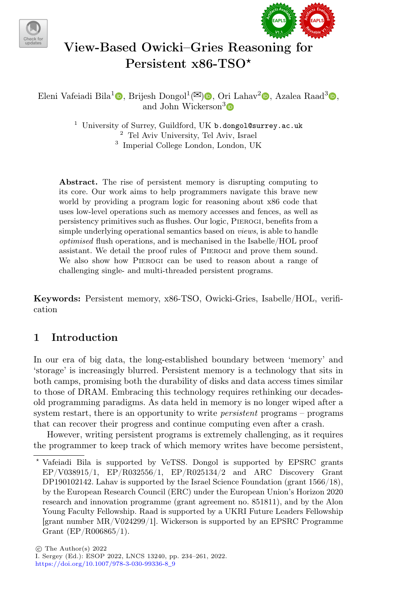



# View-Based Owicki–Gries Reasoning for Persistent x86-TSO\*

Eleni Vafeiadi Bila<sup>1</sup> $\textcircled{\tiny{\textbullet}}$ [,](http://orcid.org/0000-0002-2319-3242) Brijesh Dongol<sup>1</sup> ( $\textcircled{\tiny{\textbullet}}$ ), Ori Lahav<sup>2</sup> $\textcircled{\tiny{\textbullet}}$ , Azalea Raad<sup>3</sup> $\textcircled{\tiny{\textbullet}}$ , and John Wickerson<sup>3</sup>

> <sup>1</sup> University of Surrey, Guildford, UK b.dongol@surrey.ac.uk <sup>2</sup> Tel Aviv University, Tel Aviv, Israel 3 Imperial College London, London, UK

Abstract. The rise of persistent memory is disrupting computing to its core. Our work aims to help programmers navigate this brave new world by providing a program logic for reasoning about x86 code that uses low-level operations such as memory accesses and fences, as well as persistency primitives such as fushes. Our logic, Pierogi, benefts from a simple underlying operational semantics based on *views*, is able to handle optimised fush operations, and is mechanised in the Isabelle/HOL proof assistant. We detail the proof rules of Pierogi and prove them sound. We also show how Pierogi can be used to reason about a range of challenging single- and multi-threaded persistent programs.

Keywords: Persistent memory, x86-TSO, Owicki-Gries, Isabelle/HOL, verifcation

## <span id="page-0-0"></span>1 Introduction

In our era of big data, the long-established boundary between 'memory' and 'storage' is increasingly blurred. Persistent memory is a technology that sits in both camps, promising both the durability of disks and data access times similar to those of DRAM. Embracing this technology requires rethinking our decadesold programming paradigms. As data held in memory is no longer wiped after a system restart, there is an opportunity to write *persistent* programs – programs that can recover their progress and continue computing even after a crash.

However, writing persistent programs is extremely challenging, as it requires the programmer to keep track of which memory writes have become persistent,

<sup>⋆</sup> Vafeiadi Bila is supported by VeTSS. Dongol is supported by EPSRC grants EP/V038915/1, EP/R032556/1, EP/R025134/2 and ARC Discovery Grant DP190102142. Lahav is supported by the Israel Science Foundation (grant 1566/18), by the European Research Council (ERC) under the European Union's Horizon 2020 research and innovation programme (grant agreement no. 851811), and by the Alon Young Faculty Fellowship. Raad is supported by a UKRI Future Leaders Fellowship [grant number MR/V024299/1]. Wickerson is supported by an EPSRC Programme Grant (EP/R006865/1).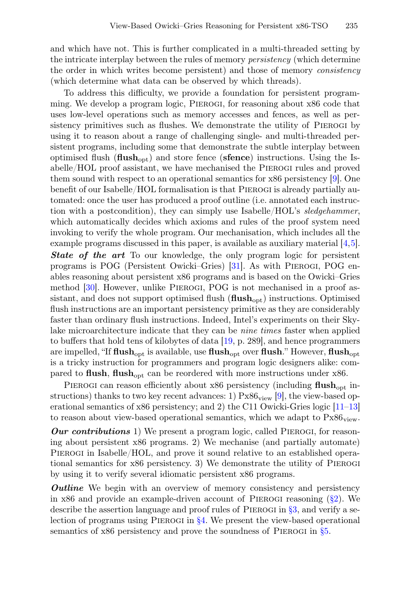and which have not. This is further complicated in a multi-threaded setting by the intricate interplay between the rules of memory persistency (which determine the order in which writes become persistent) and those of memory consistency (which determine what data can be observed by which threads).

To address this difficulty, we provide a foundation for persistent programming. We develop a program logic, Pierogi, for reasoning about x86 code that uses low-level operations such as memory accesses and fences, as well as persistency primitives such as fushes. We demonstrate the utility of Pierogi by using it to reason about a range of challenging single- and multi-threaded persistent programs, including some that demonstrate the subtle interplay between optimised flush  $(fllush_{\text{cont}})$  and store fence (sfence) instructions. Using the Isabelle/HOL proof assistant, we have mechanised the Pierogi rules and proved them sound with respect to an operational semantics for x86 persistency [\[9\]](#page-25-0). One beneft of our Isabelle/HOL formalisation is that Pierogi is already partially automated: once the user has produced a proof outline (i.e. annotated each instruction with a postcondition), they can simply use Isabelle/HOL's sledgehammer, which automatically decides which axioms and rules of the proof system need invoking to verify the whole program. Our mechanisation, which includes all the example programs discussed in this paper, is available as auxiliary material [\[4,](#page-25-1)[5\]](#page-25-2). **State of the art** To our knowledge, the only program logic for persistent programs is POG (Persistent Owicki–Gries) [\[31\]](#page-27-0). As with Pierogi, POG enables reasoning about persistent x86 programs and is based on the Owicki–Gries method [\[30\]](#page-27-1). However, unlike Pierogi, POG is not mechanised in a proof assistant, and does not support optimised flush  $(flush<sub>oot</sub>)$  instructions. Optimised fush instructions are an important persistency primitive as they are considerably faster than ordinary fush instructions. Indeed, Intel's experiments on their Skylake microarchitecture indicate that they can be nine times faster when applied to bufers that hold tens of kilobytes of data [\[19,](#page-26-0) p. 289], and hence programmers are impelled, "If  $\text{fusion}$  is available, use  $\text{fusion}$  over  $\text{fusion}$ ." However,  $\text{fusion}$ is a tricky instruction for programmers and program logic designers alike: com-

PIEROGI can reason efficiently about x86 persistency (including flush<sub>opt</sub> instructions) thanks to two key recent advances: 1)  $Px86_{view}$  [\[9\]](#page-25-0), the view-based operational semantics of x86 persistency; and 2) the C11 Owicki-Gries logic [\[11](#page-25-3)[–13\]](#page-26-1) to reason about view-based operational semantics, which we adapt to  $Px86_{view}$ .

pared to flush, flush<sub>opt</sub> can be reordered with more instructions under  $x86$ .

**Our contributions** 1) We present a program logic, called PIEROGI, for reasoning about persistent x86 programs. 2) We mechanise (and partially automate) PIEROGI in Isabelle/HOL, and prove it sound relative to an established operational semantics for x86 persistency. 3) We demonstrate the utility of Pierogi by using it to verify several idiomatic persistent x86 programs.

**Outline** We begin with an overview of memory consistency and persistency in x86 and provide an example-driven account of PIEROGI reasoning  $(\S2)$ . We describe the assertion language and proof rules of Pierogi in [§3,](#page-8-0) and verify a selection of programs using PIEROGI in  $\S 4$ . We present the view-based operational semantics of x86 persistency and prove the soundness of PIEROGI in  $\S5$ .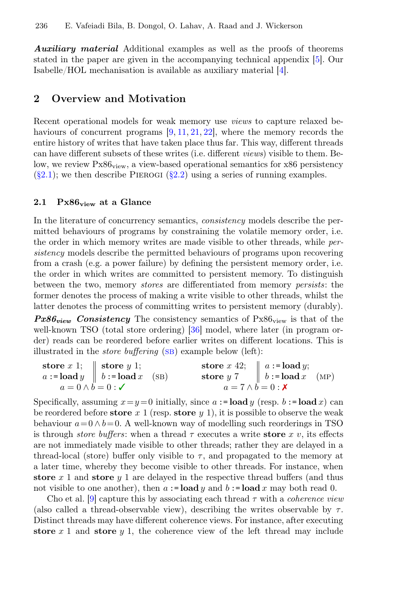**Auxiliary material** Additional examples as well as the proofs of theorems stated in the paper are given in the accompanying technical appendix [\[5\]](#page-25-2). Our Isabelle/HOL mechanisation is available as auxiliary material [\[4\]](#page-25-1).

## <span id="page-2-0"></span>2 Overview and Motivation

Recent operational models for weak memory use views to capture relaxed be-haviours of concurrent programs [\[9,](#page-25-0) [11,](#page-25-3) [21,](#page-26-2) [22\]](#page-26-3), where the memory records the entire history of writes that have taken place thus far. This way, diferent threads can have diferent subsets of these writes (i.e. diferent views) visible to them. Below, we review  $Px86_{\text{view}}$ , a view-based operational semantics for x86 persistency  $(\S2.1)$ ; we then describe PIEROGI  $(\S2.2)$  using a series of running examples.

#### <span id="page-2-1"></span>2.1  $Px86_{view}$  at a Glance

In the literature of concurrency semantics, consistency models describe the permitted behaviours of programs by constraining the volatile memory order, i.e. the order in which memory writes are made visible to other threads, while persistency models describe the permitted behaviours of programs upon recovering from a crash (e.g. a power failure) by defning the persistent memory order, i.e. the order in which writes are committed to persistent memory. To distinguish between the two, memory stores are diferentiated from memory persists: the former denotes the process of making a write visible to other threads, whilst the latter denotes the process of committing writes to persistent memory (durably).

 $Px86_{view}$  Consistency The consistency semantics of  $Px86_{view}$  is that of the well-known TSO (total store ordering) [\[36\]](#page-27-2) model, where later (in program order) reads can be reordered before earlier writes on diferent locations. This is illustrated in the *store buffering*  $(SB)$  example below (left):

\n
$$
a := \text{load } y \quad \left| \quad\n \begin{array}{c}\n \text{store } x 1; \\
 b := \text{load } x \\
 a = 0 \land b = 0\n \end{array}\n \right|
$$
\n

\n\n $b := \text{load } x \quad \text{(SB)} \quad \text{store } y 7 \quad \left| \quad\n \begin{array}{c}\n a := \text{load } y; \\
 b := \text{load } x \\
 a = 7 \land b = 0\n \end{array}\n \right|$ \n

\n\n $b := \text{load } x \quad \text{(MP)}$ \n

Specifically, assuming  $x=y=0$  initially, since  $a := \textbf{load } y$  (resp.  $b := \textbf{load } x$ ) can be reordered before store x 1 (resp. store  $y$  1), it is possible to observe the weak behaviour  $a = 0 \wedge b = 0$ . A well-known way of modelling such reorderings in TSO is through *store buffers*: when a thread  $\tau$  executes a write **store** x v, its effects are not immediately made visible to other threads; rather they are delayed in a thread-local (store) buffer only visible to  $\tau$ , and propagated to the memory at a later time, whereby they become visible to other threads. For instance, when store x 1 and store y 1 are delayed in the respective thread buffers (and thus not visible to one another), then  $a := \textbf{load } y$  and  $b := \textbf{load } x$  may both read 0.

Cho et al. [\[9\]](#page-25-0) capture this by associating each thread  $\tau$  with a *coherence view* (also called a thread-observable view), describing the writes observable by  $\tau$ . Distinct threads may have diferent coherence views. For instance, after executing store  $x$  1 and store  $y$  1, the coherence view of the left thread may include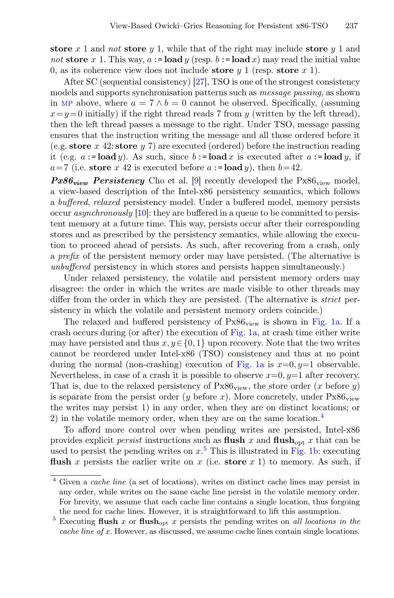store x 1 and not store y 1, while that of the right may include store y 1 and not store x 1. This way,  $a := load y$  (resp.  $b := load x$ ) may read the initial value 0, as its coherence view does not include store  $y \in \{1, 1\}$  (resp. store  $x \in \{1\}$ ).

After SC (sequential consistency) [\[27\]](#page-27-3), TSO is one of the strongest consistency models and supports synchronisation patterns such as message passing, as shown in MP above, where  $a = 7 \wedge b = 0$  cannot be observed. Specifically, (assuming  $x=y=0$  initially) if the right thread reads 7 from y (written by the left thread), then the left thread passes a message to the right. Under TSO, message passing ensures that the instruction writing the message and all those ordered before it (e.g. store x 42; store y 7) are executed (ordered) before the instruction reading it (e.g.  $a := \textbf{load } y$ ). As such, since  $b := \textbf{load } x$  is executed after  $a := \textbf{load } y$ , if  $a=7$  (i.e. store x 42 is executed before  $a := \textbf{load } y$ ), then  $b=42$ .

**Px86**<sub>view</sub> Persistency Cho et al. [\[9\]](#page-25-0) recently developed the Px86<sub>view</sub> model, a view-based description of the Intel-x86 persistency semantics, which follows a bufered, relaxed persistency model. Under a bufered model, memory persists occur *asynchronously*  $[10]$ : they are buffered in a queue to be committed to persistent memory at a future time. This way, persists occur after their corresponding stores and as prescribed by the persistency semantics, while allowing the execution to proceed ahead of persists. As such, after recovering from a crash, only a prefx of the persistent memory order may have persisted. (The alternative is unbuffered persistency in which stores and persists happen simultaneously.)

Under relaxed persistency, the volatile and persistent memory orders may disagree: the order in which the writes are made visible to other threads may differ from the order in which they are persisted. (The alternative is *strict* persistency in which the volatile and persistent memory orders coincide.)

The relaxed and buffered persistency of  $Px86_{view}$  is shown in [Fig. 1a.](#page-4-0) If a crash occurs during (or after) the execution of [Fig. 1a,](#page-4-0) at crash time either write may have persisted and thus  $x, y \in \{0, 1\}$  upon recovery. Note that the two writes cannot be reordered under Intel-x86 (TSO) consistency and thus at no point during the normal (non-crashing) execution of [Fig. 1a](#page-4-0) is  $x=0, y=1$  observable. Nevertheless, in case of a crash it is possible to observe  $x=0, y=1$  after recovery. That is, due to the relaxed persistency of  $Px86_{\text{view}}$ , the store order (x before y) is separate from the persist order (y before x). More concretely, under  $Px86$ <sub>view</sub> the writes may persist 1) in any order, when they are on distinct locations; or 2) in the volatile memory order, when they are on the same location.<sup>[4](#page-3-0)</sup>

To aford more control over when pending writes are persisted, Intel-x86 provides explicit *persist* instructions such as **flush** x and **flush**<sub>opt</sub> x that can be used to persist the pending writes on  $x<sup>5</sup>$  $x<sup>5</sup>$  $x<sup>5</sup>$ . This is illustrated in [Fig. 1b:](#page-4-0) executing flush x persists the earlier write on x (i.e. store  $x$  1) to memory. As such, if

<span id="page-3-0"></span><sup>4</sup> Given a cache line (a set of locations), writes on distinct cache lines may persist in any order, while writes on the same cache line persist in the volatile memory order. For brevity, we assume that each cache line contains a single location, thus forgoing the need for cache lines. However, it is straightforward to lift this assumption.

<span id="page-3-1"></span><sup>&</sup>lt;sup>5</sup> Executing flush x or flush<sub>opt</sub> x persists the pending writes on all locations in the cache line of x. However, as discussed, we assume cache lines contain single locations.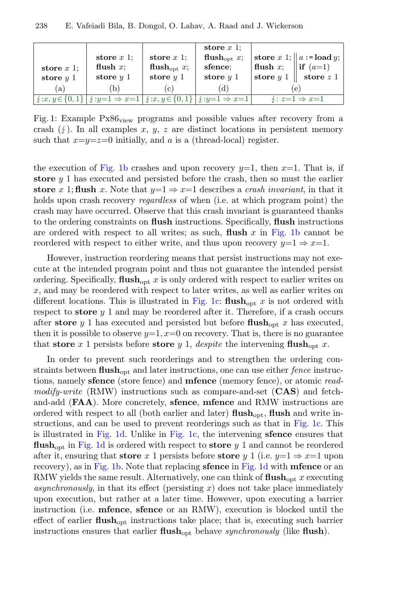<span id="page-4-0"></span>

| store $x$ 1;<br>store $y$ 1 | store $x$ 1;<br>flush $x$ ;<br>store $y$ 1                                                                             | store $x$ 1;<br>flush <sub>opt</sub> $x$ ;<br>store $y$ 1 | store $x$ 1:<br>flush <sub>opt</sub> $x$ ;<br>sfence:<br>store $y$ 1 | flush x; $\parallel$ if $(a=1)$ | store x 1; $\ a:=\text{load }y;$<br>store $y 1 \parallel$ store $z 1$ |
|-----------------------------|------------------------------------------------------------------------------------------------------------------------|-----------------------------------------------------------|----------------------------------------------------------------------|---------------------------------|-----------------------------------------------------------------------|
| (a)                         | (b)                                                                                                                    | C <sub>1</sub>                                            | (d)                                                                  | e                               |                                                                       |
|                             | $ \n\{\pm x, y \in \{0, 1\} \mid \pm y = 1 \Rightarrow x = 1   \pm x, y \in \{0, 1\} \mid \pm y = 1 \Rightarrow x = 1$ |                                                           |                                                                      |                                 | $\frac{1}{2}$ : $z=1 \Rightarrow x=1$                                 |

Fig. 1: Example  $Px86_{\text{view}}$  programs and possible values after recovery from a crash  $(\frac{1}{2})$ . In all examples x, y, z are distinct locations in persistent memory such that  $x=y=z=0$  initially, and a is a (thread-local) register.

the execution of [Fig. 1b](#page-4-0) crashes and upon recovery  $y=1$ , then  $x=1$ . That is, if store  $y_1$  has executed and persisted before the crash, then so must the earlier store x 1; flush x. Note that  $y=1 \Rightarrow x=1$  describes a *crash invariant*, in that it holds upon crash recovery *regardless* of when (i.e. at which program point) the crash may have occurred. Observe that this crash invariant is guaranteed thanks to the ordering constraints on fush instructions. Specifcally, fush instructions are ordered with respect to all writes; as such, **flush** x in [Fig. 1b](#page-4-0) cannot be reordered with respect to either write, and thus upon recovery  $y=1 \Rightarrow x=1$ .

However, instruction reordering means that persist instructions may not execute at the intended program point and thus not guarantee the intended persist ordering. Specifically,  $\text{flush}_{\text{out}} x$  is only ordered with respect to earlier writes on  $x$ , and may be reordered with respect to later writes, as well as earlier writes on different locations. This is illustrated in [Fig. 1c:](#page-4-0)  $\textbf{fush}_{\text{opt}} x$  is not ordered with respect to store  $y$  1 and may be reordered after it. Therefore, if a crash occurs after store y 1 has executed and persisted but before flush<sub>opt</sub> x has executed, then it is possible to observe  $y=1$ ,  $x=0$  on recovery. That is, there is no guarantee that store x 1 persists before store y 1, despite the intervening flush<sub>opt</sub> x.

In order to prevent such reorderings and to strengthen the ordering constraints between  $\text{flux}_{\text{opt}}$  and later instructions, one can use either *fence* instructions, namely sfence (store fence) and mfence (memory fence), or atomic readmodify-write  $(RMW)$  instructions such as compare-and-set  $(CAS)$  and fetchand-add (FAA). More concretely, sfence, mfence and RMW instructions are ordered with respect to all (both earlier and later)  $\textbf{fush}_{\text{opt}}$ ,  $\textbf{fush}$  and write instructions, and can be used to prevent reorderings such as that in [Fig. 1c.](#page-4-0) This is illustrated in [Fig. 1d.](#page-4-0) Unlike in [Fig. 1c,](#page-4-0) the intervening sfence ensures that flush<sub>opt</sub> in [Fig. 1d](#page-4-0) is ordered with respect to store  $y$  1 and cannot be reordered after it, ensuring that store x 1 persists before store y 1 (i.e.  $y=1 \Rightarrow x=1$  upon recovery), as in [Fig. 1b.](#page-4-0) Note that replacing sfence in [Fig. 1d](#page-4-0) with mfence or an RMW yields the same result. Alternatively, one can think of  $\textbf{flus}_{\text{opt}} x$  executing asynchronously, in that its effect (persisting  $x$ ) does not take place immediately upon execution, but rather at a later time. However, upon executing a barrier instruction (i.e. mfence, sfence or an RMW), execution is blocked until the effect of earlier  $\text{flux}_{\text{out}}$  instructions take place; that is, executing such barrier instructions ensures that earlier  $\text{flush}_{\text{opt}}$  behave synchronously (like  $\text{flush}$ ).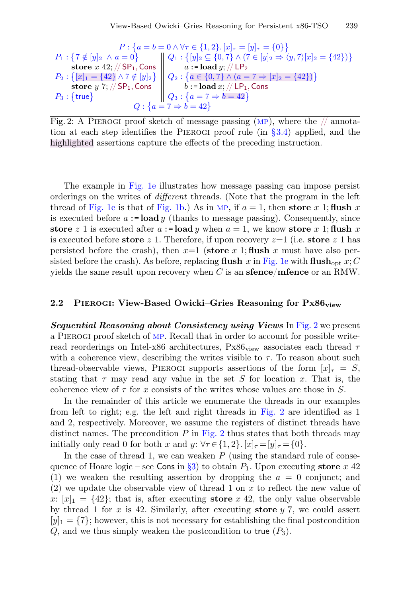<span id="page-5-1"></span>
$$
P: \{a = b = 0 \land \forall \tau \in \{1, 2\}. [x]_{\tau} = [y]_{\tau} = \{0\} \}
$$
\n
$$
P_1: \{7 \notin [y]_2 \land a = 0\}
$$
\n
$$
B_2: \{[x]_1 = \{42\} \land 7 \notin [y]_2\}
$$
\n
$$
P_2: \{[x]_1 = \{42\} \land 7 \notin [y]_2\}
$$
\n
$$
P_3: \{true\}
$$
\n
$$
P_4: \{[x]_1 = \{42\} \land 7 \notin [y]_2\}
$$
\n
$$
Q_2: \{a \in \{0, 7\} \land (a = 7 \Rightarrow [x]_2 = \{42\})\}
$$
\n
$$
Q_3: \{a = 7 \Rightarrow b = 42\}
$$
\n
$$
Q: \{a = 7 \Rightarrow b = 42\}
$$

Fig. 2: A PIEROGI proof sketch of message passing  $(MP)$ , where the  $//$  annotation at each step identifies the PIEROGI proof rule (in  $\S 3.4$ ) applied, and the highlighted assertions capture the efects of the preceding instruction.

The example in [Fig. 1e](#page-4-0) illustrates how message passing can impose persist orderings on the writes of diferent threads. (Note that the program in the left thread of [Fig. 1e](#page-4-0) is that of [Fig. 1b.](#page-4-0)) As in MP, if  $a = 1$ , then store x 1; flush x is executed before  $a := \textbf{load } y$  (thanks to message passing). Consequently, since store z 1 is executed after  $a := \textbf{load } y$  when  $a = 1$ , we know store x 1; flush x is executed before store z 1. Therefore, if upon recovery  $z=1$  (i.e. store z 1 has persisted before the crash), then  $x=1$  (store x 1; flush x must have also per-sisted before the crash). As before, replacing flush x in [Fig. 1e](#page-4-0) with flush<sub>opt</sub> x; C yields the same result upon recovery when  $C$  is an **sfence**/**mfence** or an RMW.

#### <span id="page-5-0"></span>2.2 PIEROGI: View-Based Owicki–Gries Reasoning for  $Px86_{view}$

Sequential Reasoning about Consistency using Views In [Fig. 2](#page-5-1) we present a Pierogi proof sketch of [mp](#page-2-1). Recall that in order to account for possible writeread reorderings on Intel-x86 architectures,  $Px86_{view}$  associates each thread  $\tau$ with a coherence view, describing the writes visible to  $\tau$ . To reason about such thread-observable views, PIEROGI supports assertions of the form  $[x]_T = S$ , stating that  $\tau$  may read any value in the set S for location x. That is, the coherence view of  $\tau$  for x consists of the writes whose values are those in S.

In the remainder of this article we enumerate the threads in our examples from left to right; e.g. the left and right threads in [Fig. 2](#page-5-1) are identifed as 1 and 2, respectively. Moreover, we assume the registers of distinct threads have distinct names. The precondition  $P$  in [Fig. 2](#page-5-1) thus states that both threads may initially only read 0 for both x and y:  $\forall \tau \in \{1,2\}$ .  $[x]_\tau = [y]_\tau = \{0\}$ .

In the case of thread 1, we can weaken  $P$  (using the standard rule of conse-quence of Hoare logic – see Cons in [§3\)](#page-8-0) to obtain  $P_1$ . Upon executing store x 42 (1) we weaken the resulting assertion by dropping the  $a = 0$  conjunct; and (2) we update the observable view of thread 1 on x to refect the new value of x:  $[x]_1 = \{42\}$ ; that is, after executing store x 42, the only value observable by thread 1 for  $x$  is 42. Similarly, after executing **store**  $y$  7, we could assert  $[y]_1 = \{7\}$ ; however, this is not necessary for establishing the final postcondition  $Q$ , and we thus simply weaken the postcondition to true  $(P_3)$ .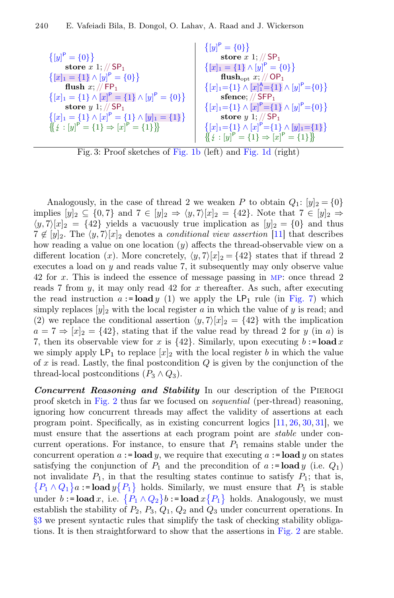<span id="page-6-0"></span>

|                                                                 | $\{ [y]^{\mathsf{P}} = \{0\} \}$                                                            |
|-----------------------------------------------------------------|---------------------------------------------------------------------------------------------|
| ${[y]}^{\mathsf{P}} = {0}$                                      | store $x$ 1; // $SP1$                                                                       |
| store $x$ 1; // $SP1$                                           | $\{[x]_1 = \{1\} \wedge [y]^P = \{0\}\}\$                                                   |
| $\{[x]_1 = \{1\} \wedge [y]^P = \{0\}\}\$                       | flush <sub>opt x</sub> ; // OP <sub>1</sub>                                                 |
| flush $x:$ // FP <sub>1</sub>                                   | $\{ [x]_1 = \{1\} \wedge [x]_1^{\mathsf{A}} = \{1\} \wedge [y]_{\mathsf{P}} = \{0\} \}$     |
| $\{ [x]_1 = \{1\} \wedge [x]^P = \{1\} \wedge [y]^P = \{0\} \}$ | sfence; $//$ SFP <sub>1</sub>                                                               |
| store $y 1$ ; // SP <sub>1</sub>                                | $\{ [x]_1 = \{1\} \wedge [x]^P = \{1\} \wedge [y]^P = \{0\} \}$                             |
| $\{[x]_1 = \{1\} \wedge [x]^P = \{1\} \wedge [y]_1 = \{1\}\}\$  | store $y 1; // SP1$                                                                         |
| $\{\!\{\iota : [y]^P = \{1\} \Rightarrow [x]^P = \{1\}\}\!\}$   | $\{ [x]_1 = \{1\} \wedge [x]^P = \{1\} \wedge [y]_1 = \{1\} \}$                             |
|                                                                 | $\{\!\{\!\{\iota: [y]^{\mathsf{P}} = \{1\} \Rightarrow [x]^{\mathsf{P}} = \{1\}\!\} \}\!\}$ |

Fig. 3: Proof sketches of [Fig. 1b](#page-4-0) (left) and [Fig. 1d](#page-4-0) (right)

Analogously, in the case of thread 2 we weaken P to obtain  $Q_1: [y]_2 = \{0\}$ implies  $[y]_2 \subseteq \{0,7\}$  and  $7 \in [y]_2 \Rightarrow \langle y,7\rangle [x]_2 = \{42\}$ . Note that  $7 \in [y]_2 \Rightarrow$  $\langle y, 7 \rangle [x]_2 = \{42\}$  yields a vacuously true implication as  $[y]_2 = \{0\}$  and thus  $7 \notin [y]_2$ . The  $\langle y, 7 \rangle [x]_2$  denotes a *conditional view assertion* [\[11\]](#page-25-3) that describes how reading a value on one location  $(y)$  affects the thread-observable view on a different location (x). More concretely,  $\langle y, 7 \rangle [x]_2 = \{42\}$  states that if thread 2 executes a load on y and reads value 7, it subsequently may only observe value 42 for x. This is indeed the essence of message passing in [mp](#page-2-1): once thread 2 reads 7 from  $y$ , it may only read 42 for  $x$  thereafter. As such, after executing the read instruction  $a := \text{load } y$  (1) we apply the  $\textsf{LP}_1$  rule (in [Fig. 7\)](#page-13-0) which simply replaces  $[y]_2$  with the local register a in which the value of y is read; and (2) we replace the conditional assertion  $\langle y, 7 \rangle [x]_2 = \{42\}$  with the implication  $a = 7 \Rightarrow |x|_2 = \{42\}$ , stating that if the value read by thread 2 for y (in a) is 7, then its observable view for x is  $\{42\}$ . Similarly, upon executing b:= load x we simply apply  $\mathsf{LP}_1$  to replace  $[x]_2$  with the local register b in which the value of x is read. Lastly, the final postcondition  $Q$  is given by the conjunction of the thread-local postconditions  $(P_3 \wedge Q_3)$ .

Concurrent Reasoning and Stability In our description of the PIEROGI proof sketch in [Fig. 2](#page-5-1) thus far we focused on sequential (per-thread) reasoning, ignoring how concurrent threads may afect the validity of assertions at each program point. Specifically, as in existing concurrent logics  $[11, 26, 30, 31]$  $[11, 26, 30, 31]$  $[11, 26, 30, 31]$  $[11, 26, 30, 31]$  $[11, 26, 30, 31]$  $[11, 26, 30, 31]$  $[11, 26, 30, 31]$ , we must ensure that the assertions at each program point are *stable* under concurrent operations. For instance, to ensure that  $P_1$  remains stable under the concurrent operation  $a := \textbf{load } y$ , we require that executing  $a := \textbf{load } y$  on states satisfying the conjunction of  $P_1$  and the precondition of  $a := \textbf{load } y$  (i.e.  $Q_1$ ) not invalidate  $P_1$ , in that the resulting states continue to satisfy  $P_1$ ; that is,  $\{P_1 \wedge Q_1\}$  a := load  $y\{P_1\}$  holds. Similarly, we must ensure that  $P_1$  is stable under  $b := \textbf{load } x$ , i.e.  $\{P_1 \wedge Q_2\} b := \textbf{load } x \{P_1\}$  holds. Analogously, we must establish the stability of  $P_2$ ,  $P_3$ ,  $Q_1$ ,  $Q_2$  and  $Q_3$  under concurrent operations. In [§3](#page-8-0) we present syntactic rules that simplify the task of checking stability obligations. It is then straightforward to show that the assertions in [Fig. 2](#page-5-1) are stable.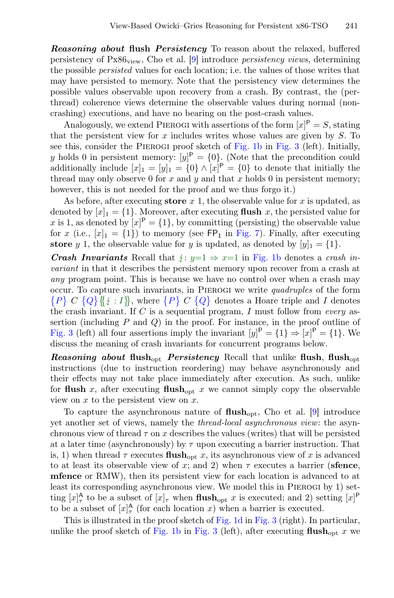**Reasoning about flush Persistency** To reason about the relaxed, buffered persistency of  $Px86_{view}$ , Cho et al. [\[9\]](#page-25-0) introduce *persistency views*, determining the possible persisted values for each location; i.e. the values of those writes that may have persisted to memory. Note that the persistency view determines the possible values observable upon recovery from a crash. By contrast, the (perthread) coherence views determine the observable values during normal (noncrashing) executions, and have no bearing on the post-crash values.

Analogously, we extend PIEROGI with assertions of the form  $[x]$ <sup>P</sup> = S, stating that the persistent view for  $x$  includes writes whose values are given by  $S$ . To see this, consider the Pierogi proof sketch of [Fig. 1b](#page-4-0) in [Fig. 3](#page-6-0) (left). Initially, y holds 0 in persistent memory:  $[y]^{P} = \{0\}$ . (Note that the precondition could additionally include  $[x]_1 = [y]_1 = \{0\} \wedge [x]^P = \{0\}$  to denote that initially the thread may only observe 0 for  $x$  and  $y$  and that  $x$  holds 0 in persistent memory; however, this is not needed for the proof and we thus forgo it.)

As before, after executing store  $x$  1, the observable value for  $x$  is updated, as denoted by  $[x]_1 = \{1\}$ . Moreover, after executing **flush** x, the persisted value for x is 1, as denoted by  $[x]$ <sup>P</sup> = {1}, by committing (persisting) the observable value for x (i.e.,  $[x]_1 = \{1\}$ ) to memory (see FP<sub>1</sub> in [Fig. 7\)](#page-13-0). Finally, after executing store y 1, the observable value for y is updated, as denoted by  $[y]_1 = \{1\}$ .

**Crash Invariants** Recall that  $f: y=1 \Rightarrow x=1$  in [Fig. 1b](#page-4-0) denotes a crash invariant in that it describes the persistent memory upon recover from a crash at any program point. This is because we have no control over when a crash may occur. To capture such invariants, in PIEROGI we write *quadruples* of the form  $\{P\} C \{Q\} \{f : I\},$  where  $\{P\} C \{Q\}$  denotes a Hoare triple and I denotes the crash invariant. If C is a sequential program, I must follow from every as the crash invariant. If  $C$  is a sequential program,  $I$  must follow from every assertion (including  $P$  and  $Q$ ) in the proof. For instance, in the proof outline of [Fig. 3](#page-6-0) (left) all four assertions imply the invariant  $[y]$ <sup>P</sup> = {1}  $\Rightarrow$   $[x]$ <sup>P</sup> = {1}. We discuss the meaning of crash invariants for concurrent programs below.

Reasoning about flush<sub>opt</sub> Persistency Recall that unlike flush, flush<sub>opt</sub> instructions (due to instruction reordering) may behave asynchronously and their efects may not take place immediately after execution. As such, unlike for flush x, after executing flush<sub>opt</sub> x we cannot simply copy the observable view on  $x$  to the persistent view on  $x$ .

To capture the asynchronous nature of  $\text{flush}_{\text{opt}}$ , Cho et al. [\[9\]](#page-25-0) introduce yet another set of views, namely the thread-local asynchronous view: the asynchronous view of thread  $\tau$  on x describes the values (writes) that will be persisted at a later time (asynchronously) by  $\tau$  upon executing a barrier instruction. That is, 1) when thread  $\tau$  executes  $\textbf{flus}_{\text{opt}} x$ , its asynchronous view of x is advanced to at least its observable view of x; and 2) when  $\tau$  executes a barrier (sfence, mfence or RMW), then its persistent view for each location is advanced to at least its corresponding asynchronous view. We model this in Pierogi by 1) setting  $[x]_{\tau}^{\mathsf{A}}$  to be a subset of  $[x]_{\tau}$  when **flush**<sub>opt</sub> x is executed; and 2) setting  $[x]^{\mathsf{P}}$ to be a subset of  $[x]_{\tau}^{\mathsf{A}}$  (for each location x) when a barrier is executed.

This is illustrated in the proof sketch of [Fig. 1d](#page-4-0) in [Fig. 3](#page-6-0) (right). In particular, unlike the proof sketch of [Fig. 1b](#page-4-0) in [Fig. 3](#page-6-0) (left), after executing  $\text{flux}_{\text{opt}}$  x we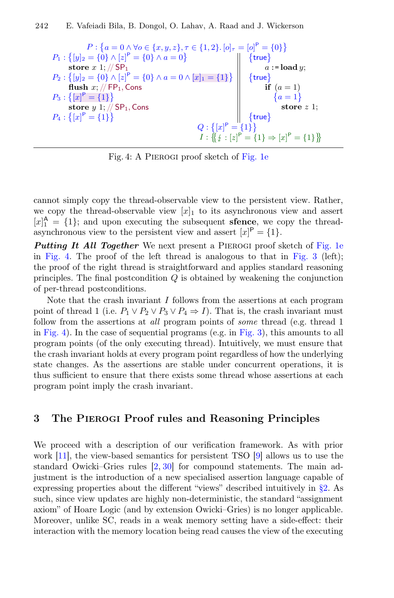<span id="page-8-1"></span>
$$
P: \{a = 0 \land \forall o \in \{x, y, z\}, \tau \in \{1, 2\}. [o]_{\tau} = [o]^{P} = \{0\}\}
$$
\n
$$
P_1: \{[y]_2 = \{0\} \land [z]^P = \{0\} \land a = 0\}
$$
\n
$$
P_2: \{[y]_2 = \{0\} \land [z]^P = \{0\} \land a = 0 \land [x]_1 = \{1\}\}
$$
\n
$$
P_3: \{[x]^P = \{1\}\}
$$
\n
$$
P_4: \{[x]^P = \{1\}\}
$$
\n
$$
P_5: \{[x]^P = \{1\}\}
$$
\n
$$
P_6: \{[x]^P = \{1\}\}
$$
\n
$$
P_7: \{[x]^P = \{1\}\}
$$
\n
$$
P_8: \{[x]^P = \{1\}\}
$$
\n
$$
P_9: \{[x]^P = \{1\}\}
$$
\n
$$
P_1: \{[x]^P = \{1\}\}
$$
\n
$$
P_2: \{[x]^P = \{1\}\}
$$
\n
$$
P_3: \{[x]^P = \{1\}\}
$$
\n
$$
P_4: \{[x]^P = \{1\}\}
$$
\n
$$
P_5: \{[x]^P = \{1\}\}
$$
\n
$$
P_6: \{[x]^P = \{1\}\}
$$
\n
$$
P_7: \{[x]^P = \{1\}\}
$$

Fig. 4: A Pierogi proof sketch of [Fig. 1e](#page-4-0)

cannot simply copy the thread-observable view to the persistent view. Rather, we copy the thread-observable view  $[x]_1$  to its asynchronous view and assert  $[x]_1^{\mathsf{A}} = \{1\};$  and upon executing the subsequent **sfence**, we copy the threadasynchronous view to the persistent view and assert  $[x]$ <sup>P</sup> = {1}.

**Putting It All Together** We next present a PIEROGI proof sketch of [Fig. 1e](#page-4-0) in [Fig. 4.](#page-8-1) The proof of the left thread is analogous to that in [Fig. 3](#page-6-0) (left); the proof of the right thread is straightforward and applies standard reasoning principles. The final postcondition  $Q$  is obtained by weakening the conjunction of per-thread postconditions.

Note that the crash invariant  $I$  follows from the assertions at each program point of thread 1 (i.e.  $P_1 \vee P_2 \vee P_3 \vee P_4 \Rightarrow I$ ). That is, the crash invariant must follow from the assertions at *all* program points of *some* thread (e.g. thread 1 in [Fig. 4\)](#page-8-1). In the case of sequential programs (e.g. in [Fig. 3\)](#page-6-0), this amounts to all program points (of the only executing thread). Intuitively, we must ensure that the crash invariant holds at every program point regardless of how the underlying state changes. As the assertions are stable under concurrent operations, it is thus sufficient to ensure that there exists some thread whose assertions at each program point imply the crash invariant.

## <span id="page-8-0"></span>3 The Pierogi Proof rules and Reasoning Principles

We proceed with a description of our verifcation framework. As with prior work [\[11\]](#page-25-3), the view-based semantics for persistent TSO [\[9\]](#page-25-0) allows us to use the standard Owicki–Gries rules [\[2,](#page-25-5) [30\]](#page-27-1) for compound statements. The main adjustment is the introduction of a new specialised assertion language capable of expressing properties about the diferent "views" described intuitively in [§2.](#page-2-0) As such, since view updates are highly non-deterministic, the standard "assignment axiom" of Hoare Logic (and by extension Owicki–Gries) is no longer applicable. Moreover, unlike SC, reads in a weak memory setting have a side-efect: their interaction with the memory location being read causes the view of the executing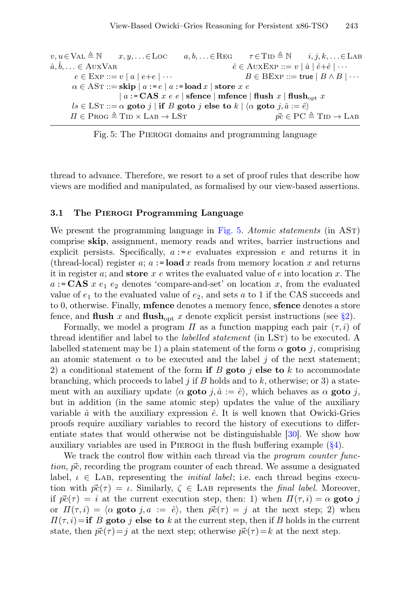<span id="page-9-0"></span> $v, u \in \text{VAL} \triangleq \mathbb{N}$   $x, y, \ldots \in \text{Loc}$   $a, b, \ldots \in \text{REG}$   $\tau \in \text{TD} \triangleq \mathbb{N}$   $i, j, k, \ldots \in \text{LAB}$  $\hat{a}, \hat{b}, \ldots \in \text{AuxVAR}$  $\hat{e} \in \text{AuxExp} ::= v | \hat{a} | \hat{e} + \hat{e} | \cdots$  $e \in \text{Exp} ::= v \mid a \mid e + e \mid \cdots$   $B \in \text{BEXP} ::= \text{true} \mid B \land B \mid \cdots$  $\alpha \in \text{AST} ::= \textbf{skip} \mid a := e \mid a := \textbf{load} \, x \mid \textbf{store} \, x \, e$  $| a := CAS \ x \ e \ e |$  sfence | mfence | flush  $x |$  flush<sub>opt</sub>  $x$  $ls \in \text{LST} ::= \alpha \text{goto } j \mid \text{if } B \text{goto } j \text{ else to } k \mid \langle \alpha \text{goto } j, \hat{a} := \hat{e} \rangle$  $\Pi \in \text{Prog} \triangleq \text{Tip} \times \text{Lab} \rightarrow \text{LST}$   $\vec{pc} \in \text{PC} \triangleq \text{Tip} \rightarrow \text{LAB}$ 

Fig. 5: The Pierogi domains and programming language

thread to advance. Therefore, we resort to a set of proof rules that describe how views are modifed and manipulated, as formalised by our view-based assertions.

#### 3.1 The Pierogi Programming Language

We present the programming language in [Fig. 5.](#page-9-0) Atomic statements (in AST) comprise skip, assignment, memory reads and writes, barrier instructions and explicit persists. Specifically,  $a := e$  evaluates expression e and returns it in (thread-local) register  $a$ ;  $a := \textbf{load } x$  reads from memory location x and returns it in register  $a$ ; and store  $x e$  writes the evaluated value of  $e$  into location  $x$ . The  $a := CAS x e_1 e_2$  denotes 'compare-and-set' on location x, from the evaluated value of  $e_1$  to the evaluated value of  $e_2$ , and sets a to 1 if the CAS succeeds and to 0, otherwise. Finally, mfence denotes a memory fence, sfence denotes a store fence, and flush x and flush<sub>opt</sub> x denote explicit persist instructions (see [§2\)](#page-2-0).

Formally, we model a program  $\Pi$  as a function mapping each pair  $(\tau, i)$  of thread identifier and label to the *labelled statement* (in LST) to be executed. A labelled statement may be 1) a plain statement of the form  $\alpha$  goto j, comprising an atomic statement  $\alpha$  to be executed and the label j of the next statement; 2) a conditional statement of the form if B goto j else to k to accommodate branching, which proceeds to label j if B holds and to  $k$ , otherwise; or 3) a statement with an auxiliary update  $\langle \alpha \rangle$  goto j,  $\hat{a} := \hat{e}$ , which behaves as  $\alpha \rangle$  goto j, but in addition (in the same atomic step) updates the value of the auxiliary variable  $\hat{a}$  with the auxiliary expression  $\hat{e}$ . It is well known that Owicki-Gries proofs require auxiliary variables to record the history of executions to diferentiate states that would otherwise not be distinguishable [\[30\]](#page-27-1). We show how auxiliary variables are used in Pierogi in the fush bufering example [\(§4\)](#page-16-0).

<span id="page-9-1"></span>We track the control flow within each thread via the *program counter func*tion,  $\vec{pc}$ , recording the program counter of each thread. We assume a designated label,  $\iota \in$  LAB, representing the *initial label*; i.e. each thread begins execution with  $\vec{pc}(\tau) = \iota$ . Similarly,  $\zeta \in \text{LAB}$  represents the final label. Moreover, if  $\vec{pc}(\tau) = i$  at the current execution step, then: 1) when  $\Pi(\tau, i) = \alpha$  goto j or  $\Pi(\tau, i) = \langle \alpha \text{goto } j, a := \hat{e} \rangle$ , then  $\vec{pc}(\tau) = j$  at the next step; 2) when  $\Pi(\tau, i) =$ if B goto j else to k at the current step, then if B holds in the current state, then  $\vec{pc}(\tau) = j$  at the next step; otherwise  $\vec{pc}(\tau) = k$  at the next step.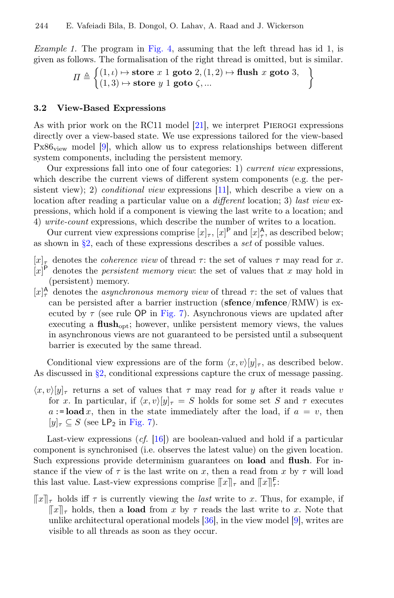*Example 1.* The program in [Fig. 4,](#page-8-1) assuming that the left thread has id 1, is given as follows. The formalisation of the right thread is omitted, but is similar.

$$
\Pi \triangleq \left\{ (1, \iota) \mapsto \text{store } x \text{ 1 goto } 2, (1, 2) \mapsto \text{flush } x \text{ goto } 3, \\ (1, 3) \mapsto \text{store } y \text{ 1 goto } \zeta, \dots \right\}
$$

#### <span id="page-10-0"></span>3.2 View-Based Expressions

As with prior work on the RC11 model [\[21\]](#page-26-2), we interpret PIEROGI expressions directly over a view-based state. We use expressions tailored for the view-based  $Px86_{\text{view}}$  model [\[9\]](#page-25-0), which allow us to express relationships between different system components, including the persistent memory.

Our expressions fall into one of four categories: 1) current view expressions, which describe the current views of diferent system components (e.g. the persistent view); 2) *conditional view* expressions [\[11\]](#page-25-3), which describe a view on a location after reading a particular value on a *different* location; 3) last view expressions, which hold if a component is viewing the last write to a location; and 4) write-count expressions, which describe the number of writes to a location.

Our current view expressions comprise  $[x]_{\tau}$ ,  $[x]_{\tau}^{\mathsf{P}}$  and  $[x]_{\tau}^{\mathsf{A}}$ , as described below; as shown in [§2,](#page-2-0) each of these expressions describes a set of possible values.

- $[x]_{\tau}$  denotes the *coherence view* of thread  $\tau$ : the set of values  $\tau$  may read for x.
- $[x]$ <sup>P</sup> denotes the *persistent memory view*: the set of values that x may hold in (persistent) memory.
- $[x]_{\tau}^{\mathsf{A}}$  denotes the *asynchronous memory view* of thread  $\tau$ : the set of values that can be persisted after a barrier instruction (sfence/mfence/RMW) is executed by  $\tau$  (see rule OP in [Fig. 7\)](#page-13-0). Asynchronous views are updated after executing a  $\text{flux}_{\text{oot}}$ ; however, unlike persistent memory views, the values in asynchronous views are not guaranteed to be persisted until a subsequent barrier is executed by the same thread.

Conditional view expressions are of the form  $\langle x, v \rangle [y]_\tau$ , as described below. As discussed in  $\S2$ , conditional expressions capture the crux of message passing.

 $\langle x, v \rangle [y]_\tau$  returns a set of values that  $\tau$  may read for y after it reads value v for x. In particular, if  $\langle x, v \rangle [y]_\tau = S$  holds for some set S and  $\tau$  executes  $a := \textbf{load } x$ , then in the state immediately after the load, if  $a = v$ , then  $[y]_{\tau} \subseteq S$  (see LP<sub>2</sub> in [Fig. 7\)](#page-13-0).

Last-view expressions  $(cf. [16])$  $(cf. [16])$  $(cf. [16])$  are boolean-valued and hold if a particular component is synchronised (i.e. observes the latest value) on the given location. Such expressions provide determinism guarantees on load and fush. For instance if the view of  $\tau$  is the last write on x, then a read from x by  $\tau$  will load this last value. Last-view expressions comprise  $||x||_{\tau}$  and  $||x||_{\tau}^{F}$ :

 $\llbracket x \rrbracket_{\tau}$  holds iff  $\tau$  is currently viewing the *last* write to x. Thus, for example, if  $\llbracket x \rrbracket_{\tau}$  holds, then a **load** from x by  $\tau$  reads the last write to x. Note that unlike architectural operational models [\[36\]](#page-27-2), in the view model [\[9\]](#page-25-0), writes are visible to all threads as soon as they occur.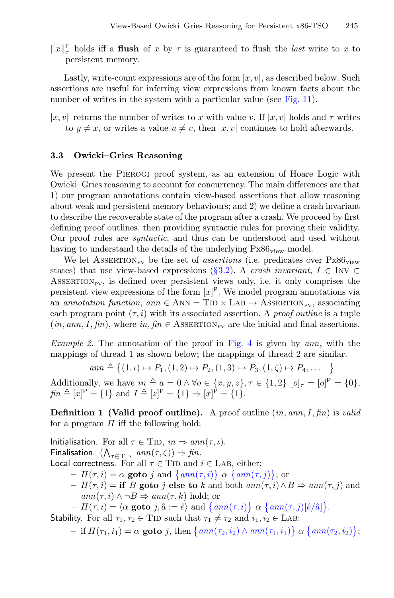$\lceil x \rceil_{\tau}^{\mathsf{F}}$  holds iff a **flush** of x by  $\tau$  is guaranteed to flush the *last* write to x to persistent memory persistent memory.

Lastly, write-count expressions are of the form  $|x, v|$ , as described below. Such assertions are useful for inferring view expressions from known facts about the number of writes in the system with a particular value (see [Fig. 11\)](#page-18-1).

|x, v| returns the number of writes to x with value v. If  $|x, v|$  holds and  $\tau$  writes to  $y \neq x$ , or writes a value  $u \neq v$ , then  $|x, v|$  continues to hold afterwards.

#### 3.3 Owicki–Gries Reasoning

We present the PIEROGI proof system, as an extension of Hoare Logic with Owicki–Gries reasoning to account for concurrency. The main diferences are that 1) our program annotations contain view-based assertions that allow reasoning about weak and persistent memory behaviours; and 2) we defne a crash invariant to describe the recoverable state of the program after a crash. We proceed by frst defning proof outlines, then providing syntactic rules for proving their validity. Our proof rules are syntactic, and thus can be understood and used without having to understand the details of the underlying  $Px86_{view}$  model.

We let ASSERTION<sub>PV</sub> be the set of *assertions* (i.e. predicates over  $Px86_{view}$ states) that use view-based expressions [\(§3.2\)](#page-10-0). A crash invariant,  $I \in \text{INV} \subset$ ASSERTION<sub>PV</sub>, is defined over persistent views only, i.e. it only comprises the persistent view expressions of the form  $[x]^P$ . We model program annotations via an annotation function, ann  $\in$  ANN = TID  $\times$  LAB  $\rightarrow$  ASSERTION<sub>PV</sub>, associating each program point  $(\tau, i)$  with its associated assertion. A proof outline is a tuple  $(in, ann, I, fin),$  where  $in, fin \in \text{ASSENTION}_{\text{PV}}$  are the initial and final assertions.

<span id="page-11-0"></span>Example 2. The annotation of the proof in [Fig. 4](#page-8-1) is given by ann, with the mappings of thread 1 as shown below; the mappings of thread 2 are similar.

$$
ann \triangleq \{(1, \iota) \mapsto P_1, (1, 2) \mapsto P_2, (1, 3) \mapsto P_3, (1, \zeta) \mapsto P_4, \dots \}
$$

Additionally, we have  $in \triangleq a = 0 \land \forall o \in \{x, y, z\}, \tau \in \{1, 2\}$ .  $[o]_{\tau} = [o]^{P} = \{0\}$ ,  $\text{fin } \triangleq [x]^{\mathsf{P}} = \{1\} \text{ and } I \triangleq [z]^{\mathsf{P}} = \{1\} \Rightarrow [x]^{\mathsf{P}} = \{1\}.$ 

<span id="page-11-1"></span>**Definition 1 (Valid proof outline).** A proof outline  $(in, ann, I, fin)$  is valid for a program  $\Pi$  iff the following hold:

Initialisation. For all  $\tau \in \text{TID}, \text{in} \Rightarrow \text{ann}(\tau, \iota)$ . Finalisation.  $(\bigwedge_{\tau \in \text{TID}} \text{ann}(\tau, \zeta)) \Rightarrow \text{fin}.$ Local correctness. For all  $\tau \in \text{TID}$  and  $i \in \text{LAB}$ , either:  $-I\left(\tau,i\right) = \alpha$  goto j and  $\{ann(\tau,i)\}\alpha \{ann(\tau,j)\};$  or  $-I\rightarrow H(\tau, i) = \textbf{if } B \textbf{ goto } j \textbf{ else to } k \textbf{ and both } ann(\tau, i) \land B \Rightarrow ann(\tau, j) \textbf{ and } j \textbf{ else } k \textbf{ else } j \textbf{ else } k \textbf{ else } j \textbf{ else } j \textbf{ else } j \textbf{ else } j \textbf{ else } j \textbf{ else } j \textbf{ else } j \textbf{ else } j \textbf{ else } j \textbf{ else } j \textbf{ else } j \textbf{ else } j \textbf{ else } j \textbf{ else } j \textbf{ else } j \textbf{ else } j \textbf{ else } j \textbf{ else } j \textbf{ else } j \text$  $ann(\tau, i) \land \neg B \Rightarrow ann(\tau, k) \text{ hold};$  or  $-I\!\!I(\tau,i) = \langle \alpha \text{ goto } j, \hat{a} := \hat{e} \rangle \text{ and } \{ \operatorname{ann}(\tau,i) \} \alpha \{ \operatorname{ann}(\tau,j) [\hat{e}/\hat{a}] \}.$ Stability. For all  $\tau_1, \tau_2 \in \text{TID}$  such that  $\tau_1 \neq \tau_2$  and  $i_1, i_2 \in \text{LAB}$ :  $- \text{ if } \Pi(\tau_1, i_1) = \alpha \text{ goto } j, \text{ then } \left\{ \tanh(\tau_2, i_2) \wedge \tanh(\tau_1, i_1) \right\} \alpha \left\{ \tanh(\tau_2, i_2) \right\};$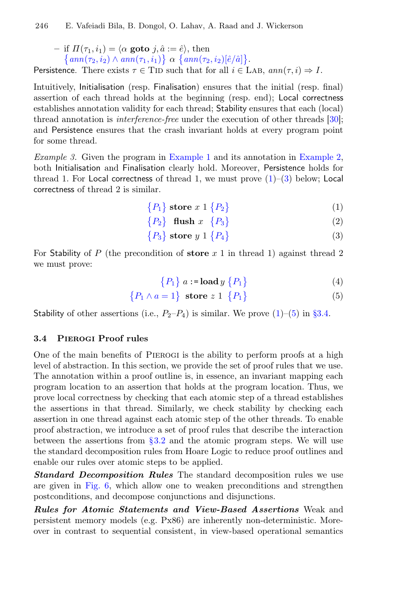– if  $\Pi(\tau_1, i_1) = \langle \alpha \text{ goto } j, \hat{a} := \hat{e} \rangle$ , then  $\{ann(\tau_2, i_2) \wedge ann(\tau_1, i_1)\} \alpha \{ann(\tau_2, i_2)[\hat{e}/\hat{a}]\}.$ Persistence. There exists  $\tau \in$  TID such that for all  $i \in$  LAB,  $ann(\tau, i) \Rightarrow I$ .

Intuitively, Initialisation (resp. Finalisation) ensures that the initial (resp. fnal) assertion of each thread holds at the beginning (resp. end); Local correctness establishes annotation validity for each thread; Stability ensures that each (local) thread annotation is interference-free under the execution of other threads [\[30\]](#page-27-1); and Persistence ensures that the crash invariant holds at every program point for some thread.

<span id="page-12-3"></span>Example 3. Given the program in [Example 1](#page-9-1) and its annotation in [Example 2,](#page-11-0) both Initialisation and Finalisation clearly hold. Moreover, Persistence holds for thread 1. For Local correctness of thread 1, we must prove  $(1)$ – $(3)$  below; Local correctness of thread 2 is similar.

<span id="page-12-1"></span>
$$
\{P_1\} \text{ store } x \text{ 1 } \{P_2\} \tag{1}
$$

$$
\{P_2\} \quad \text{f lush } x \quad \{P_3\} \tag{2}
$$

$$
\{P_3\} \text{ store } y \text{ 1 } \{P_4\} \tag{3}
$$

For Stability of P (the precondition of store  $x$  1 in thread 1) against thread 2 we must prove:

<span id="page-12-2"></span>
$$
\{P_1\} \ a := \mathbf{load} \ y \ \{P_1\} \tag{4}
$$

$$
\{P_1 \wedge a = 1\} \text{ store } z \ 1 \ \{P_1\} \tag{5}
$$

Stability of other assertions (i.e.,  $P_2-P_4$ ) is similar. We prove [\(1\)](#page-12-1)–[\(5\)](#page-12-2) in [§3.4.](#page-12-0)

#### <span id="page-12-0"></span>3.4 Pierogi Proof rules

One of the main benefts of Pierogi is the ability to perform proofs at a high level of abstraction. In this section, we provide the set of proof rules that we use. The annotation within a proof outline is, in essence, an invariant mapping each program location to an assertion that holds at the program location. Thus, we prove local correctness by checking that each atomic step of a thread establishes the assertions in that thread. Similarly, we check stability by checking each assertion in one thread against each atomic step of the other threads. To enable proof abstraction, we introduce a set of proof rules that describe the interaction between the assertions from  $\S 3.2$  and the atomic program steps. We will use the standard decomposition rules from Hoare Logic to reduce proof outlines and enable our rules over atomic steps to be applied.

**Standard Decomposition Rules** The standard decomposition rules we use are given in [Fig. 6,](#page-13-1) which allow one to weaken preconditions and strengthen postconditions, and decompose conjunctions and disjunctions.

Rules for Atomic Statements and View-Based Assertions Weak and persistent memory models (e.g. Px86) are inherently non-deterministic. Moreover in contrast to sequential consistent, in view-based operational semantics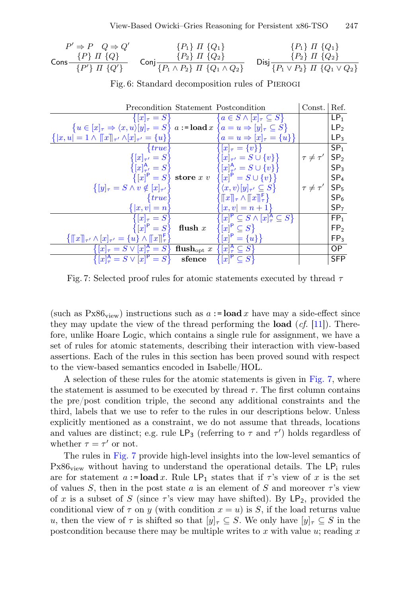<span id="page-13-1"></span>
$$
P' \Rightarrow P \quad Q \Rightarrow Q' \qquad \{P_1\} \quad I \quad \{Q_1\} \qquad \{P_1\} \quad I \quad \{Q_1\} \qquad \{P_2\} \quad I \quad \{Q_2\} \qquad \{P_3 \} \quad I \quad \{Q_3\} \qquad \{P_4\} \quad I \quad \{Q_4\} \qquad \{P_5 \} \quad I \quad \{Q_2\} \qquad \{P_6 \} \quad I \quad \{Q_1 \} \qquad \{P_7 \} \quad I \quad \{Q'_1\} \qquad \{P_1 \land P_2\} \quad I \quad \{Q_1 \land Q_2\} \qquad \text{Disj } \frac{P_1 \land P_2}{P_1 \lor P_2} \quad I \quad \{Q_1 \lor Q_2\}
$$

<span id="page-13-0"></span>

|                                                                                                                                        |           | Precondition Statement Postcondition                                                | Const. $Ref.$     |                 |
|----------------------------------------------------------------------------------------------------------------------------------------|-----------|-------------------------------------------------------------------------------------|-------------------|-----------------|
| $\{ x _{\tau} = S\}$                                                                                                                   |           | ${a \in S \wedge [x]_{\tau} \subseteq S}$                                           |                   | LP <sub>1</sub> |
| ${u \in [x]_{\tau} \Rightarrow \langle x, u \rangle[y]_{\tau} = S}$ $a :=$ <b>load</b> $x \{a = u \Rightarrow [y]_{\tau} \subseteq S}$ |           |                                                                                     |                   | LP <sub>2</sub> |
| $\{ x, u  = 1 \wedge   x  _{\tau'} \wedge  x _{\tau'} = \{u\}\}\$                                                                      |           | $a = u \Rightarrow [x]_{\tau} = \{u\}\}.$                                           |                   | LP <sub>3</sub> |
| $\{true\}$                                                                                                                             |           | $\{[x]_{\tau} = \{v\}\}\$                                                           |                   | SP <sub>1</sub> |
| $\{[x]_{\tau'}=S\}$                                                                                                                    |           | $\{[x]_{\tau'}=S\cup\{v\}\}\$                                                       | $\tau \neq \tau'$ | SP <sub>2</sub> |
| $\{[x]_{\tau'}^{\mathsf{A}}=S\}$                                                                                                       |           | $\{[x]_{\tau}^{\mathsf{A}} = S \cup \{v\}\}\$                                       |                   | SP <sub>3</sub> |
|                                                                                                                                        |           | $\{ x ^P = S\}$ store $x \, v \, \{ x ^P = S \cup \{v\}\}\$                         |                   | SP <sub>4</sub> |
| $\{[y]_\tau = S \wedge v \notin [x]_{\tau'}\}$                                                                                         |           | $\{ \langle x, v \rangle [y]_{\tau'} \subseteq S \}$                                | $\tau \neq \tau'$ | SP <sub>5</sub> |
| $\{true\}$                                                                                                                             |           | $\{\llbracket x \rrbracket_\tau \wedge \llbracket x \rrbracket_\tau^{\mathsf{F}}\}$ |                   | SP <sub>6</sub> |
| $\{ x,v =n\}$                                                                                                                          |           | $ x, v  = n + 1$                                                                    |                   | SP <sub>7</sub> |
| $\{ x _{\tau} = S\}$                                                                                                                   |           | $\{[x]^{\mathsf{P}}\subseteq S \wedge [x]_{\tau}^{\mathsf{A}}\subseteq S\}$         |                   | FP <sub>1</sub> |
| $\{ [x]^{\mathsf{P}} = S \}$                                                                                                           | flush $x$ | $\{[x]^{\mathsf{P}}\subseteq S\}$                                                   |                   | FP <sub>2</sub> |
| $\{\llbracket x \rrbracket_{\tau'} \wedge [x]_{\tau'} = \{u\} \wedge \llbracket x \rrbracket_{\tau}^{\mathsf{F}}\}$                    |           | ${[x]^{\mathsf{P}}} = {u}$                                                          |                   | FP <sub>3</sub> |
| $\{ x _{\tau}  = S \vee  x _{\tau}^{\mathsf{A}} = S\}$ flush <sub>opt</sub> $x \{[x]_{\tau}^{\mathsf{A}} \subseteq S\}$                |           |                                                                                     |                   | OP.             |
| $\{ [x]_7^{\mathsf{A}} = S \vee [x]^{\mathsf{P}} = S \}$                                                                               | sfence    | $\{[x]^{\mathsf{P}}\subseteq S\}$                                                   |                   | <b>SFP</b>      |

Fig. 6: Standard decomposition rules of Pierogi

Fig. 7: Selected proof rules for atomic statements executed by thread  $\tau$ 

(such as  $Px86_{view}$ ) instructions such as  $a := load x$  have may a side-effect since they may update the view of the thread performing the **load**  $(cf. [11])$  $(cf. [11])$  $(cf. [11])$ . Therefore, unlike Hoare Logic, which contains a single rule for assignment, we have a set of rules for atomic statements, describing their interaction with view-based assertions. Each of the rules in this section has been proved sound with respect to the view-based semantics encoded in Isabelle/HOL.

A selection of these rules for the atomic statements is given in [Fig. 7,](#page-13-0) where the statement is assumed to be executed by thread  $\tau$ . The first column contains the pre/post condition triple, the second any additional constraints and the third, labels that we use to refer to the rules in our descriptions below. Unless explicitly mentioned as a constraint, we do not assume that threads, locations and values are distinct; e.g. rule  $\textsf{LP}_3$  (referring to  $\tau$  and  $\tau'$ ) holds regardless of whether  $\tau = \tau'$  or not.

The rules in [Fig. 7](#page-13-0) provide high-level insights into the low-level semantics of  $Px86<sub>view</sub>$  without having to understand the operational details. The  $LP<sub>i</sub>$  rules are for statement a:= $\text{load } x$ . Rule LP<sub>1</sub> states that if  $\tau$ 's view of x is the set of values S, then in the post state a is an element of S and moreover  $\tau$ 's view of x is a subset of S (since  $\tau$ 's view may have shifted). By  $\mathsf{LP}_2$ , provided the conditional view of  $\tau$  on y (with condition  $x = u$ ) is S, if the load returns value u, then the view of  $\tau$  is shifted so that  $[y]_{\tau} \subseteq S$ . We only have  $[y]_{\tau} \subseteq S$  in the postcondition because there may be multiple writes to x with value  $u$ ; reading x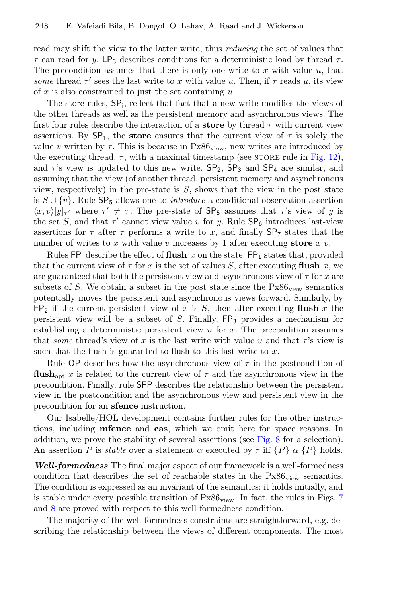read may shift the view to the latter write, thus reducing the set of values that  $\tau$  can read for y. LP<sub>3</sub> describes conditions for a deterministic load by thread  $\tau$ . The precondition assumes that there is only one write to  $x$  with value  $u$ , that some thread  $\tau'$  sees the last write to x with value u. Then, if  $\tau$  reads u, its view of  $x$  is also constrained to just the set containing  $u$ .

The store rules,  $SP_i$ , reflect that fact that a new write modifies the views of the other threads as well as the persistent memory and asynchronous views. The first four rules describe the interaction of a **store** by thread  $\tau$  with current view assertions. By  $\mathsf{SP}_1$ , the store ensures that the current view of  $\tau$  is solely the value v written by  $\tau$ . This is because in Px86<sub>view</sub>, new writes are introduced by the executing thread,  $\tau$ , with a maximal timestamp (see STORE rule in [Fig. 12\)](#page-19-0), and  $\tau$ 's view is updated to this new write.  $SP_2$ ,  $SP_3$  and  $SP_4$  are similar, and assuming that the view (of another thread, persistent memory and asynchronous view, respectively) in the pre-state is  $S$ , shows that the view in the post state is  $S \cup \{v\}$ . Rule  $\text{SP}_5$  allows one to *introduce* a conditional observation assertion  $\langle x, v \rangle [y]_{\tau'}$  where  $\tau' \neq \tau$ . The pre-state of SP<sub>5</sub> assumes that  $\tau$ 's view of y is the set S, and that  $\tau'$  cannot view value v for y. Rule  $\mathsf{SP}_6$  introduces last-view assertions for  $\tau$  after  $\tau$  performs a write to x, and finally  $SP_{7}$  states that the number of writes to x with value v increases by 1 after executing store x v.

Rules  $FP_i$  describe the effect of **flush** x on the state.  $FP_1$  states that, provided that the current view of  $\tau$  for x is the set of values S, after executing flush x, we are guaranteed that both the persistent view and asynchronous view of  $\tau$  for x are subsets of S. We obtain a subset in the post state since the  $Px86_{\text{view}}$  semantics potentially moves the persistent and asynchronous views forward. Similarly, by  $FP_2$  if the current persistent view of x is S, then after executing flush x the persistent view will be a subset of  $S$ . Finally,  $\text{FP}_3$  provides a mechanism for establishing a deterministic persistent view  $u$  for  $x$ . The precondition assumes that some thread's view of x is the last write with value u and that  $\tau$ 's view is such that the flush is guaranted to flush to this last write to  $x$ .

Rule OP describes how the asynchronous view of  $\tau$  in the postcondition of flush<sub>opt</sub> x is related to the current view of  $\tau$  and the asynchronous view in the precondition. Finally, rule SFP describes the relationship between the persistent view in the postcondition and the asynchronous view and persistent view in the precondition for an sfence instruction.

Our Isabelle/HOL development contains further rules for the other instructions, including mfence and cas, which we omit here for space reasons. In addition, we prove the stability of several assertions (see [Fig. 8](#page-15-1) for a selection). An assertion P is *stable* over a statement  $\alpha$  executed by  $\tau$  iff  $\{P\}$   $\alpha$   $\{P\}$  holds.

Well-formedness The final major aspect of our framework is a well-formedness condition that describes the set of reachable states in the  $Px86_{view}$  semantics. The condition is expressed as an invariant of the semantics: it holds initially, and is stable under every possible transition of  $Px86_{view}$ . In fact, the rules in Figs. [7](#page-13-0) and [8](#page-15-1) are proved with respect to this well-formedness condition.

The majority of the well-formedness constraints are straightforward, e.g. describing the relationship between the views of diferent components. The most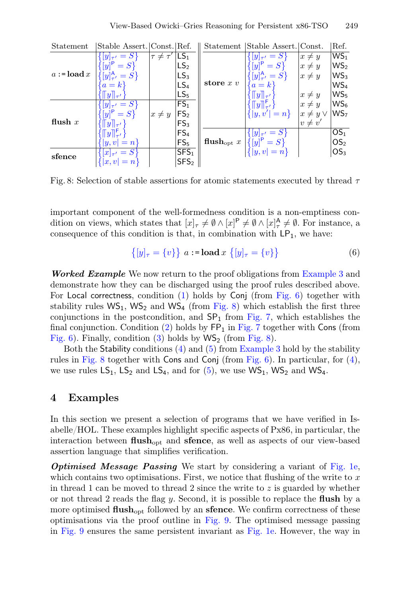<span id="page-15-1"></span>

| Statement               | Stable Assert. Const. Ref.     |                 |                  |                               | Statement Stable Assert. Const.              |                 | Ref.            |
|-------------------------|--------------------------------|-----------------|------------------|-------------------------------|----------------------------------------------|-----------------|-----------------|
| $a := \mathbf{load}\,x$ | $[y]_{\tau'}=S$                | $\tau\neq\tau'$ | $ LS_1 $         |                               | $[y]_{\tau'}=S$                              | $x \neq y$      | WS <sub>1</sub> |
|                         | $[y]^P = S$                    |                 | LS <sub>2</sub>  | store $x v$                   | $[y]^P = S$                                  | $x \neq y$      | WS <sub>2</sub> |
|                         | $[y]_{\tau'}^{\mathsf{A}} = S$ |                 | LS <sub>3</sub>  |                               | ${[y]}_{\tau'}^{\mathsf{A}} = S$             | $x \neq y$      | WS <sub>3</sub> |
|                         | $a = k$                        |                 | LS <sub>4</sub>  |                               | $a = k$                                      |                 | WS <sub>4</sub> |
|                         | $y\ _{\tau'}$                  |                 | LS <sub>5</sub>  |                               | $  y  _{\tau'}$                              | $x \neq y$      | WS <sub>5</sub> |
| flush $x$               | $[y]_{\tau'}=S$                |                 | FS <sub>1</sub>  |                               | $\lceil y \rceil_{\tau'}^{\mathsf{F}}\rceil$ | $x \neq y$      | $WS_6$          |
|                         | $[y]$ <sup>P</sup> = S         | $x \neq y$      | FS <sub>2</sub>  |                               | ${  y,v'  = n }$                             | $x \neq y \vee$ | WS <sub>7</sub> |
|                         |                                |                 | FS <sub>3</sub>  |                               |                                              | $v \neq v'$     |                 |
|                         |                                |                 | FS <sub>4</sub>  |                               | $  y _{\tau'}=S$                             |                 | OS <sub>1</sub> |
|                         | $ y,v =n$                      |                 | FS <sub>5</sub>  | flush <sub>opt</sub> $x \mid$ | ${[y]}^P = S$                                |                 | OS <sub>2</sub> |
| sfence                  | $ x _{\tau'}=S$                |                 | SFS <sub>1</sub> |                               | $\{  y,v  = n \}$                            |                 | OS <sub>3</sub> |
|                         | $ x, v  = n$                   |                 | SFS <sub>2</sub> |                               |                                              |                 |                 |

Fig. 8: Selection of stable assertions for atomic statements executed by thread  $\tau$ 

important component of the well-formedness condition is a non-emptiness condition on views, which states that  $[x]_{\tau} \neq \emptyset \wedge [x]^{\mathsf{P}} \neq \emptyset \wedge [x]^{\mathsf{A}}_{\tau} \neq \emptyset$ . For instance, a consequence of this condition is that, in combination with  $\mathsf{LP}_1$ , we have:

$$
\{ [y]_{\tau} = \{v\} \} a := \text{load } x \{ [y]_{\tau} = \{v\} \}
$$
 (6)

**Worked Example** We now return to the proof obligations from [Example 3](#page-12-3) and demonstrate how they can be discharged using the proof rules described above. For Local correctness, condition [\(1\)](#page-12-1) holds by Conj (from [Fig. 6\)](#page-13-1) together with stability rules  $WS_1$ ,  $WS_2$  and  $WS_4$  (from [Fig. 8\)](#page-15-1) which establish the first three conjunctions in the postcondition, and  $SP<sub>1</sub>$  from [Fig. 7,](#page-13-0) which establishes the final conjunction. Condition [\(2\)](#page-12-1) holds by  $\mathsf{FP}_1$  in [Fig. 7](#page-13-0) together with Cons (from [Fig. 6\)](#page-13-1). Finally, condition [\(3\)](#page-12-1) holds by  $WS_2$  (from [Fig. 8\)](#page-15-1).

Both the Stability conditions  $(4)$  and  $(5)$  from [Example 3](#page-12-3) hold by the stability rules in [Fig. 8](#page-15-1) together with Cons and Conj (from [Fig. 6\)](#page-13-1). In particular, for [\(4\)](#page-12-2), we use rules  $LS_1$ ,  $LS_2$  and  $LS_4$ , and for  $(5)$ , we use  $WS_1$ ,  $WS_2$  and  $WS_4$ .

## <span id="page-15-0"></span>4 Examples

In this section we present a selection of programs that we have verifed in Isabelle/HOL. These examples highlight specifc aspects of Px86, in particular, the interaction between  $\text{flux}_{\text{ont}}$  and sfence, as well as aspects of our view-based assertion language that simplifes verifcation.

**Optimised Message Passing** We start by considering a variant of [Fig. 1e,](#page-4-0) which contains two optimisations. First, we notice that flushing of the write to  $x$ in thread 1 can be moved to thread 2 since the write to  $z$  is guarded by whether or not thread 2 reads the fag y. Second, it is possible to replace the fush by a more optimised  $\text{flux}_{\text{opt}}$  followed by an sfence. We confirm correctness of these optimisations via the proof outline in [Fig. 9.](#page-16-0) The optimised message passing in [Fig. 9](#page-16-0) ensures the same persistent invariant as [Fig. 1e.](#page-4-0) However, the way in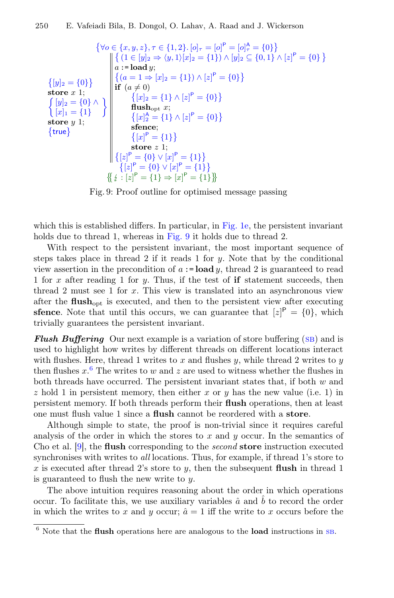<span id="page-16-0"></span>
$$
\{\forall o \in \{x, y, z\}, \tau \in \{1, 2\}. [o]_{\tau} = [o]_{\tau}^{P} = [o]_{\tau}^{A} = \{0\}\}\
$$
\n
$$
\{[y]_{2} = \{0\}\}\
$$
\n
$$
\{\{y|z = \{0\}\}\}
$$
\n
$$
\{\{y|z = \{0\}\}\}\
$$
\n
$$
\{\{y|z = \{0\}\}\}\
$$
\n
$$
\{\{x|z = \{1\} \land [z]_{\tau}^{P} = \{0\}\}\}\
$$
\n
$$
\{\{x|z = \{1\} \land [z]_{\tau}^{P} = \{0\}\}\}
$$
\n
$$
\{\{x|z = \{1\} \land [z]_{\tau}^{P} = \{0\}\}\}
$$
\n
$$
\{\{x|z = \{1\} \land [z]_{\tau}^{P} = \{0\}\}\}
$$
\n
$$
\{\{x|z = \{1\} \land [z]_{\tau}^{P} = \{0\}\}\}
$$
\n
$$
\{\{x|z = \{1\} \land [z]_{\tau}^{P} = \{0\}\}\}
$$
\n
$$
\{\{x|z = \{1\} \land [z]_{\tau}^{P} = \{0\}\}\}
$$
\n
$$
\{\{x|z\} = \{0\} \lor [x]_{\tau}^{P} = \{1\}\}\
$$
\n
$$
\{\{z|z\}^{P} = \{0\} \lor [x]_{\tau}^{P} = \{1\}\}\
$$
\n
$$
\{\{z|z\}^{P} = \{1\} \Rightarrow [x]_{\tau}^{P} = \{1\}\}\
$$
\n
$$
\{\{z|z\}^{P} = \{1\} \Rightarrow [x]_{\tau}^{P} = \{1\}\}\
$$

Fig. 9: Proof outline for optimised message passing

which this is established differs. In particular, in [Fig. 1e,](#page-4-0) the persistent invariant holds due to thread 1, whereas in [Fig. 9](#page-16-0) it holds due to thread 2.

With respect to the persistent invariant, the most important sequence of steps takes place in thread 2 if it reads 1 for  $y$ . Note that by the conditional view assertion in the precondition of  $a := load y$ , thread 2 is guaranteed to read 1 for x after reading 1 for y. Thus, if the test of **if** statement succeeds, then thread 2 must see 1 for  $x$ . This view is translated into an asynchronous view after the  $\text{flux}_{\text{ont}}$  is executed, and then to the persistent view after executing **sfence**. Note that until this occurs, we can guarantee that  $[z]^P = \{0\}$ , which trivially guarantees the persistent invariant.

**Flush Buffering** Our next example is a variation of store buffering  $(SB)$  and is used to highlight how writes by diferent threads on diferent locations interact with flushes. Here, thread 1 writes to x and flushes  $y$ , while thread 2 writes to  $y$ then flushes  $x^6$  $x^6$ . The writes to w and z are used to witness whether the flushes in both threads have occurred. The persistent invariant states that, if both  $w$  and  $z$  hold 1 in persistent memory, then either x or y has the new value (i.e. 1) in persistent memory. If both threads perform their fush operations, then at least one must fush value 1 since a fush cannot be reordered with a store.

Although simple to state, the proof is non-trivial since it requires careful analysis of the order in which the stores to  $x$  and  $y$  occur. In the semantics of Cho et al. [\[9\]](#page-25-0), the fush corresponding to the second store instruction executed synchronises with writes to all locations. Thus, for example, if thread 1's store to x is executed after thread 2's store to y, then the subsequent flush in thread 1 is guaranteed to flush the new write to  $y$ .

The above intuition requires reasoning about the order in which operations occur. To facilitate this, we use auxiliary variables  $\hat{a}$  and  $\hat{b}$  to record the order in which the writes to x and y occur;  $\hat{a} = 1$  iff the write to x occurs before the

<span id="page-16-1"></span> $^6$  Note that the flush operations here are analogous to the load instructions in [sb](#page-2-1).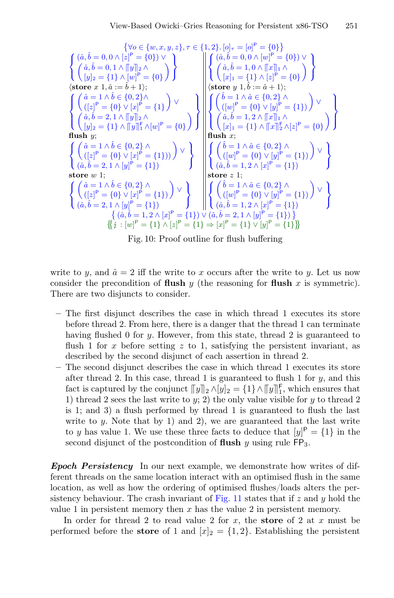$$
\begin{cases}\n\{\forall o \in \{w, x, y, z\}, \tau \in \{1, 2\}. [o]_{\tau} = [o]^{P} = \{0\}\n\} \\
\begin{pmatrix}\n\hat{a}, \hat{b} = 0, 0 \land [z]^{P} = \{0\}\n\end{pmatrix}\n\end{cases}
$$
\n
$$
\begin{cases}\n\hat{a}, \hat{b} = 0, 1 \land [y]_{2} \land \\
\hat{b} = 0, 1 \land [y]_{2} \land \\
\hat{b} = \{1\} \land [w]^{P} = \{0\}\n\end{cases}
$$
\n
$$
\begin{cases}\n\hat{a} = 1 \land \hat{b} \in \{0, 2\} \land \\
\hat{b} = 2, 1 \land [y]_{2} \land \\
\hat{b} = 2, 1 \land [y]_{2} \land \\
\hat{b} = 2, 1 \land [y]_{2} \land \\
\hat{b} = 2, 1 \land [y]_{2} \land \\
\hat{b} = 2, 1 \land [y]_{2} \land \\
\hat{b} = 2, 1 \land [y]_{2} \land \\
\hat{b} = 2, 1 \land [y]_{2} \land \\
\hat{b} = 2, 1 \land [y]_{2} \land \\
\hat{b} = 2, 1 \land [y]_{2} \land \\
\hat{b} = 2, 1 \land [y]_{2} \land \\
\hat{b} = 2, 1 \land [y]_{2} \land \\
\hat{b} = 2, 1 \land [y]_{2} \land \hat{b} = \{0\}\n\end{cases}
$$
\n
$$
\begin{cases}\n\hat{a} = 1 \land \hat{b} \in \{0, 2\} \land \\
\hat{b} = 2, 1 \land [y]_{2} \land \hat{b} = \{0\}\n\end{cases}
$$
\n
$$
\begin{cases}\n\hat{a} = 1 \land \hat{b} \in \{0, 2\} \land \\
\hat{b} = 2, 1 \land [y]_{2} \land \hat{b} = \{1\}\n\end{cases}
$$
\n
$$
\begin{cases}\n\hat{b} = 1 \land \hat{a} \in \{0, 2\} \land \\
\hat{b} = 1, 2 \land [x]_{2} \land \hat{b} = \{0\}
$$

Fig. 10: Proof outline for fush bufering

write to y, and  $\hat{a} = 2$  iff the write to x occurs after the write to y. Let us now consider the precondition of flush y (the reasoning for flush x is symmetric). There are two disjuncts to consider.

- The frst disjunct describes the case in which thread 1 executes its store before thread 2. From here, there is a danger that the thread 1 can terminate having flushed 0 for y. However, from this state, thread 2 is guaranteed to flush 1 for x before setting z to 1, satisfying the persistent invariant, as described by the second disjunct of each assertion in thread 2.
- The second disjunct describes the case in which thread 1 executes its store after thread 2. In this case, thread 1 is guaranteed to flush 1 for  $y$ , and this fact is captured by the conjunct  $||y||_2 \wedge [y]_2 = \{1\} \wedge [||y||_1^2$ , which ensures that<br>1) throad 2 soos the last write to  $w$ , 2) the only value visible for  $u$  to throad 2 1) thread 2 sees the last write to  $y$ ; 2) the only value visible for  $y$  to thread 2 is 1; and 3) a fush performed by thread 1 is guaranteed to fush the last write to y. Note that by 1) and 2), we are guaranteed that the last write to y has value 1. We use these three facts to deduce that  $[y]^{P} = \{1\}$  in the second disjunct of the postcondition of flush y using rule  $FP_3$ .

Epoch Persistency In our next example, we demonstrate how writes of different threads on the same location interact with an optimised fush in the same location, as well as how the ordering of optimised fushes/loads alters the per-sistency behaviour. The crash invariant of [Fig. 11](#page-18-1) states that if  $z$  and  $y$  hold the value 1 in persistent memory then  $x$  has the value 2 in persistent memory.

In order for thread 2 to read value 2 for  $x$ , the store of 2 at  $x$  must be performed before the **store** of 1 and  $[x]_2 = \{1,2\}$ . Establishing the persistent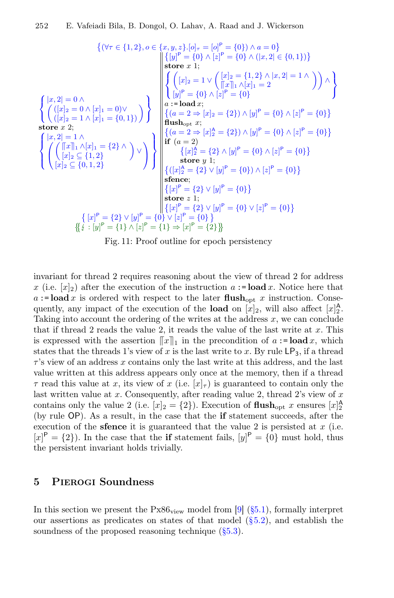<span id="page-18-1"></span>
$$
\begin{cases}\n(x, 2| = 0 \land \\
(x, 2| = 0 \land [x]_2 = 1 \land [x]_2 = \{0\}, 1, 2\}\n\end{cases}\n\begin{cases}\n[x, 2| = 0 \land [x]_1 = \{0\} \land [x]_1 = \{0\} \land [x]_1 = \{0\} \land [x]_1 = \{0\} \land [x]_1 = \{0\} \land [x]_1 = \{0\} \land [x]_1 = \{0\} \land [x]_1 = \{0\} \land [x]_1 = \{0\} \land [x]_1 = \{0\} \land [x]_1 = \{0\} \land [x]_1 = \{0\} \land [x]_1 = \{0\} \land [x]_1 = \{0\} \land [x]_1 = \{0\} \land [x]_1 = \{0\} \land [x]_1 = \{0\} \land [x]_1 = \{0\} \land [x]_1 = \{0\} \land [x]_1 = \{0\} \land [x]_1 = \{0\} \land [x]_1 = \{0\} \land [x]_1 = \{0\} \land [x]_1 = \{0\} \land [x]_1 = \{0\} \land [x]_1 = \{0\} \land [x]_1 = \{0\} \land [x]_1 = \{0\} \land [x]_1 = \{0\} \land [x]_1 = \{0\} \land [x]_1 = \{0\} \land [x]_1 = \{0\} \land [x]_1 = \{0\} \land [x]_1 = \{0\} \land [x]_1 = \{0\} \land [x]_1 = \{0\} \land [x]_1 = \{0\} \land [x]_1 = \{0\} \land [x]_1 = \{0\} \land [x]_1 = \{0\} \land [x]_1 = \{0\} \land [x]_1 = \{0\} \land [x]_1 = \{0\} \land [x]_1 = \{0\} \land [x]_1 = \{0\} \land [x]_1 = \{0\} \land [x]_1 = \{0\} \land [x]_1 = \{0\} \land [x]_1 = \{0\} \land [x]_1 = \{0\} \land [x]_1 = \{0\} \land [x]_1 = \{0\} \land [x]_1 =
$$

Fig. 11: Proof outline for epoch persistency

invariant for thread 2 requires reasoning about the view of thread 2 for address x (i.e.  $[x]_2$ ) after the execution of the instruction  $a := \textbf{load } x$ . Notice here that  $a :=$ **load** x is ordered with respect to the later flush<sub>opt</sub> x instruction. Consequently, any impact of the execution of the **load** on  $[x]_2$ , will also affect  $[x]_2^{\mathsf{A}}$ . Taking into account the ordering of the writes at the address  $x$ , we can conclude that if thread 2 reads the value 2, it reads the value of the last write at  $x$ . This is expressed with the assertion  $\llbracket x \rrbracket_1$  in the precondition of  $a := \textbf{load } x$ , which states that the threads 1's view of x is the last write to x. By rule  $\textsf{LP}_3$ , if a thread  $\tau$ 's view of an address x contains only the last write at this address, and the last value written at this address appears only once at the memory, then if a thread  $\tau$  read this value at x, its view of x (i.e.  $[x]_{\tau}$ ) is guaranteed to contain only the last written value at  $x$ . Consequently, after reading value 2, thread 2's view of  $x$ contains only the value 2 (i.e.  $[x]_2 = \{2\}$ ). Execution of **flush**<sub>opt</sub> x ensures  $[x]_2^{\mathsf{A}}$ (by rule OP). As a result, in the case that the if statement succeeds, after the execution of the **sfence** it is guaranteed that the value 2 is persisted at  $x$  (i.e.  $[x]$ <sup>P</sup> = {2}). In the case that the **if** statement fails,  $[y]$ <sup>P</sup> = {0} must hold, thus the persistent invariant holds trivially.

## <span id="page-18-0"></span>5 Pierogi Soundness

In this section we present the  $Px86_{view}$  model from [\[9\]](#page-25-0) [\(§5.1\)](#page-19-1), formally interpret our assertions as predicates on states of that model  $(\S 5.2)$ , and establish the soundness of the proposed reasoning technique  $(\S 5.3)$ .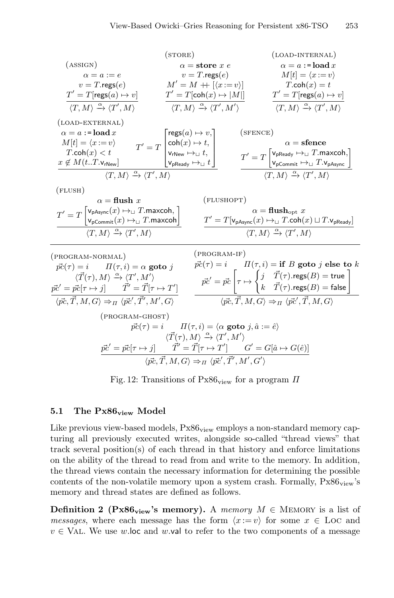<span id="page-19-0"></span>(ASIGN)  
\n(ASIGN)  
\n
$$
\alpha = a := e
$$
  
\n
$$
v = T \cdot \text{regs}(e)
$$
  
\n
$$
T' = T[\text{regs}(a) \mapsto v]
$$
  
\n
$$
\frac{T' = T[\text{regs}(a) \mapsto v]}{(T, M) \xrightarrow{\alpha} \langle T', M \rangle} \qquad \frac{T' = T[\text{coh}(x) \mapsto v]}{(T, M) \xrightarrow{\alpha} \langle T', M \rangle} \qquad \frac{T' = T[\text{regs}(a) \mapsto v]}{(T, M) \xrightarrow{\alpha} \langle T', M \rangle} \qquad \frac{T' = T[\text{regs}(a) \mapsto v]}{(T, M) \xrightarrow{\alpha} \langle T', M \rangle} \qquad \frac{T' = T[\text{regs}(a) \mapsto v]}{(T, M) \xrightarrow{\alpha} \langle T', M \rangle} \qquad \frac{T' = T[\text{regs}(a) \mapsto v]}{(T, M) \xrightarrow{\alpha} \langle T', M \rangle} \qquad \frac{T' = T[\text{regs}(a) \mapsto v]}{(T, M) \xrightarrow{\alpha} \langle T', M \rangle} \qquad \frac{T' = T[\text{regs}(a) \mapsto v]}{(T, M) \xrightarrow{\alpha} \langle T', M \rangle} \qquad \frac{T' = T[\text{v}_P(\text{Reg}(a) \mapsto u)]}{T' = T[\text{v}_P(\text{reg}(a) \mapsto u)]} \qquad \frac{T' = T[\text{v}_P(\text{reg}(a) \mapsto u)]}{T' = T[\text{v}_P(\text{reg}(a) \mapsto u)]} \qquad \frac{T' = T[\text{v}_P(\text{reg}(a) \mapsto u)]}{T' = T[\text{v}_P(\text{reg}(a) \mapsto u)]} \qquad \frac{T' = T[\text{v}_P(\text{reg}(a) \mapsto u)]}{T' = T[\text{v}_P(\text{reg}(a) \mapsto u)]} \qquad \frac{T' = T[\text{v}_P(\text{reg}(a) \mapsto u)]}{T' = T[\text{v}_P(\text{reg}(a) \mapsto u)]} \qquad \frac{T' = T[\text{v}_P(\text{reg}(a) \mapsto u)]}{T' = T[\text{v}_P(\text{reg}(a) \mapsto u)]} \qquad \frac{T' = T[\text{v}_P(\text{reg}(a) \mapsto u)]}{T' = T[\text{v}_P(\text{reg}(
$$

Fig. 12: Transitions of  $Px86_{\text{view}}$  for a program  $\Pi$ 

#### <span id="page-19-1"></span>5.1 The  $Px86_{view}$  Model

Like previous view-based models,  $Px86_{view}$  employs a non-standard memory capturing all previously executed writes, alongside so-called "thread views" that track several position(s) of each thread in that history and enforce limitations on the ability of the thread to read from and write to the memory. In addition, the thread views contain the necessary information for determining the possible contents of the non-volatile memory upon a system crash. Formally,  $Px86_{view}$ 's memory and thread states are defned as follows.

**Definition 2 (Px86**<sub>view</sub>'s memory). A memory  $M \in$  MEMORY is a list of *messages*, where each message has the form  $\langle x:=v \rangle$  for some  $x \in$  Loc and  $v \in \text{VAL}$ . We use w.loc and w.val to refer to the two components of a message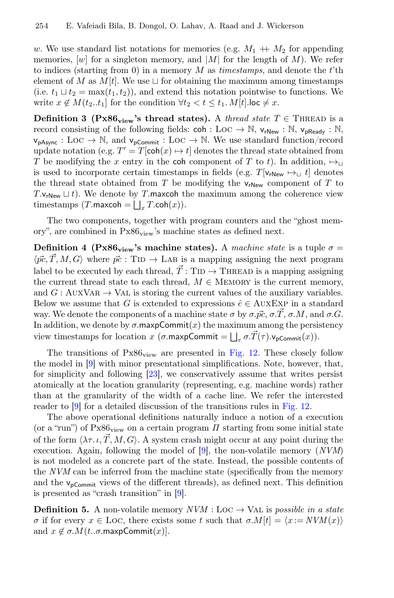w. We use standard list notations for memories (e.g.  $M_1 + M_2$  for appending memories,  $[w]$  for a singleton memory, and  $|M|$  for the length of M). We refer to indices (starting from 0) in a memory  $M$  as timestamps, and denote the t'th element of M as  $M[t]$ . We use  $\sqcup$  for obtaining the maximum among timestamps (i.e.  $t_1 \sqcup t_2 = \max(t_1, t_2)$ ), and extend this notation pointwise to functions. We write  $x \notin M(t_2..t_1]$  for the condition  $\forall t_2 < t \leq t_1$ .  $M[t]$ . loc  $\neq x$ .

**Definition 3 (Px86**<sub>view</sub>'s thread states). A thread state  $T \in$  THREAD is a record consisting of the following fields:  $\text{coh} : \text{Loc} \to \mathbb{N}, \text{ v}_{\text{rNew}} : \mathbb{N}, \text{ v}_{\text{pReady}} : \mathbb{N},$  $v_{pAsync} : Loc \rightarrow \mathbb{N}$ , and  $v_{pCommit} : Loc \rightarrow \mathbb{N}$ . We use standard function/record update notation (e.g.  $T' = T[\text{coh}(x) \rightarrow t]$  denotes the thread state obtained from T be modifying the x entry in the coh component of T to t). In addition,  $\mapsto$ is used to incorporate certain timestamps in fields (e.g. T[ $v_{rNew} \mapsto_{\perp} t$ ] denotes the thread state obtained from  $T$  be modifying the  $v_{rNew}$  component of  $T$  to T. $v_{\text{rNew}} \sqcup t$ ). We denote by T.maxcoh the maximum among the coherence view timestamps  $(T.\textsf{maxcoh} = \bigsqcup_x T.\textsf{coh}(x)).$ 

The two components, together with program counters and the "ghost memory", are combined in  $Px86_{view}$ 's machine states as defined next.

Definition 4 (Px86<sub>view</sub>'s machine states). A machine state is a tuple  $\sigma =$  $\langle \vec{pc}, \vec{T}, M, G \rangle$  where  $\vec{pc}$ : TID  $\rightarrow$  LAB is a mapping assigning the next program label to be executed by each thread,  $\vec{T}$ : TID  $\rightarrow$  THREAD is a mapping assigning the current thread state to each thread,  $M \in \text{MEMORY}$  is the current memory, and  $G : \text{AuxVAR} \rightarrow \text{VAL}$  is storing the current values of the auxiliary variables. Below we assume that G is extended to expressions  $\hat{e} \in \text{AUXEXP}$  in a standard way. We denote the components of a machine state  $\sigma$  by  $\sigma \vec{v}$ ,  $\sigma \vec{\mathcal{X}}$ ,  $\sigma \vec{\mathcal{M}}$ , and  $\sigma \vec{\mathcal{G}}$ . In addition, we denote by  $\sigma$  maxpCommit $(x)$  the maximum among the persistency view timestamps for location x  $(\sigma \cdot \text{maxpCommit} = \bigsqcup_{\tau} \sigma \cdot \vec{T}(\tau) \cdot \mathsf{v}_{\text{pCommit}}(x)).$ 

The transitions of  $Px86_{view}$  are presented in [Fig. 12.](#page-19-0) These closely follow the model in [\[9\]](#page-25-0) with minor presentational simplifcations. Note, however, that, for simplicity and following [\[23\]](#page-26-5), we conservatively assume that writes persist atomically at the location granularity (representing, e.g. machine words) rather than at the granularity of the width of a cache line. We refer the interested reader to [\[9\]](#page-25-0) for a detailed discussion of the transitions rules in [Fig. 12.](#page-19-0)

The above operational defnitions naturally induce a notion of a execution (or a "run") of  $Px86_{\text{view}}$  on a certain program  $\Pi$  starting from some initial state of the form  $\langle \lambda \tau, \iota, T, M, G \rangle$ . A system crash might occur at any point during the execution. Again, following the model of [\[9\]](#page-25-0), the non-volatile memory  $(NUM)$ is not modeled as a concrete part of the state. Instead, the possible contents of the NVM can be inferred from the machine state (specifcally from the memory and the  $v_{\text{pCommit}}$  views of the different threads), as defined next. This definition is presented as "crash transition" in [\[9\]](#page-25-0).

<span id="page-20-0"></span>**Definition 5.** A non-volatile memory  $NVM$  : Loc  $\rightarrow$  Val is possible in a state σ if for every  $x \in$  LOC, there exists some t such that  $\sigma.M[t] = \langle x := NVM(x) \rangle$ and  $x \notin \sigma.M(t..\sigma.\text{maxpCommit}(x)].$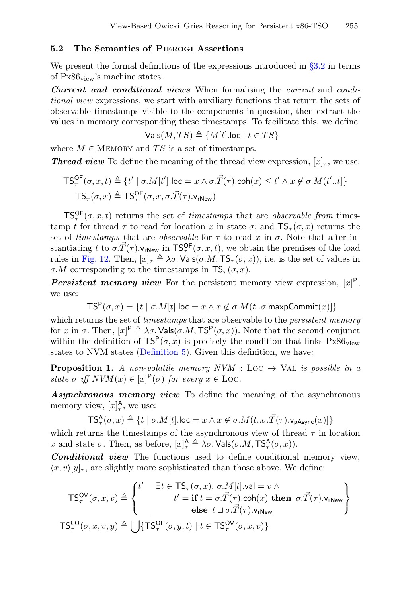#### <span id="page-21-0"></span>5.2 The Semantics of Pierogi Assertions

We present the formal definitions of the expressions introduced in  $\S 3.2$  in terms of  $Px86_{view}$ 's machine states.

Current and conditional views When formalising the current and conditional view expressions, we start with auxiliary functions that return the sets of observable timestamps visible to the components in question, then extract the values in memory corresponding these timestamps. To facilitate this, we defne

 $Vals(M, TS) \triangleq \{M[t].loc \mid t \in TS\}$ 

where  $M \in \text{MEMORY}$  and TS is a set of timestamps.

**Thread view** To define the meaning of the thread view expression,  $[x]_{\tau}$ , we use:

$$
\begin{aligned} \mathsf{TS}_{\tau}^{\mathsf{OF}}(\sigma, x, t) &\triangleq \{ t' \mid \sigma.M[t'].\mathsf{loc} = x \land \sigma.\vec{T}(\tau).\mathsf{coh}(x) \le t' \land x \notin \sigma.M(t'..t] \} \\ \mathsf{TS}_{\tau}(\sigma, x) &\triangleq \mathsf{TS}_{\tau}^{\mathsf{OF}}(\sigma, x, \sigma.\vec{T}(\tau).\mathsf{v}_{\mathsf{rNew}}) \end{aligned}
$$

 $TS_{\tau}^{\text{OF}}(\sigma, x, t)$  returns the set of *timestamps* that are *observable from* timestamp t for thread  $\tau$  to read for location x in state  $\sigma$ ; and  $TS_\tau(\sigma, x)$  returns the set of timestamps that are *observable* for  $\tau$  to read x in  $\sigma$ . Note that after instantiating t to  $\sigma.\vec{T}(\tau)$ . $v_{\text{rNew}}$  in  $\text{TS}_{\tau}^{\text{OF}}(\sigma, x, t)$ , we obtain the premises of the load rules in [Fig. 12.](#page-19-0) Then,  $[x]_{\tau} \triangleq \lambda \sigma$ . Vals $(\sigma, M, \mathsf{TS}_{\tau}(\sigma, x))$ , i.e. is the set of values in σ.M corresponding to the timestamps in  $TS_\tau(\sigma, x)$ .

**Persistent memory view** For the persistent memory view expression,  $[x]$ <sup>P</sup>, we use:

$$
TS^{P}(\sigma, x) = \{ t \mid \sigma.M[t]. \text{loc} = x \land x \notin \sigma.M(t..\sigma.\text{maxpCommit}(x)] \}
$$

which returns the set of *timestamps* that are observable to the *persistent memory* for x in  $\sigma$ . Then,  $[x]^P \triangleq \lambda \sigma$ . Vals $(\sigma, M, TS^P(\sigma, x))$ . Note that the second conjunct within the definition of  $TS^P(\sigma, x)$  is precisely the condition that links  $Px86_{\text{view}}$ states to NVM states [\(Defnition 5\)](#page-20-0). Given this defnition, we have:

**Proposition 1.** A non-volatile memory NVM : LOC  $\rightarrow$  VAL is possible in a state  $\sigma$  iff  $NVM(x) \in [x]^{\mathsf{P}}(\sigma)$  for every  $x \in \text{Loc}.$ 

Asynchronous memory view To define the meaning of the asynchronous memory view,  $[x]_{\tau}^{\mathsf{A}},$  we use:

$$
\mathsf{TS}^{\mathsf{A}}_{\tau}(\sigma, x) \triangleq \{t \mid \sigma . M[t].{\sf loc}=x \land x \not \in \sigma . M(t .. \sigma . \vec{T}(\tau).{\sf v}_{\mathsf{pAsync}}(x)]\}
$$

which returns the timestamps of the asynchronous view of thread  $\tau$  in location x and state  $\sigma$ . Then, as before,  $[x]_{\tau}^{\mathsf{A}} \triangleq \lambda \sigma$ . Vals $(\sigma.M, \mathsf{TS}_{\tau}^{\mathsf{A}}(\sigma, x))$ .

Conditional view The functions used to define conditional memory view,  $\langle x, v \rangle |y|_{\tau}$ , are slightly more sophisticated than those above. We define:

$$
\mathsf{TS}_{\tau}^{\mathsf{OV}}(\sigma, x, v) \triangleq \left\{ \begin{array}{c} t' \\ t' = \mathbf{if} \ t = \sigma.\vec{T}(\tau).\text{coh}(x) \ \mathbf{then} \ \sigma.\vec{T}(\tau).\text{v}_{\mathsf{rNew}} \\ \mathbf{else} \ t \sqcup \sigma.\vec{T}(\tau).\text{v}_{\mathsf{rNew}} \end{array} \right\}
$$

$$
\mathsf{TS}_{\tau}^{\mathsf{CO}}(\sigma, x, v, y) \triangleq \bigcup \{ \mathsf{TS}_{\tau}^{\mathsf{OF}}(\sigma, y, t) \mid t \in \mathsf{TS}_{\tau}^{\mathsf{OV}}(\sigma, x, v) \}
$$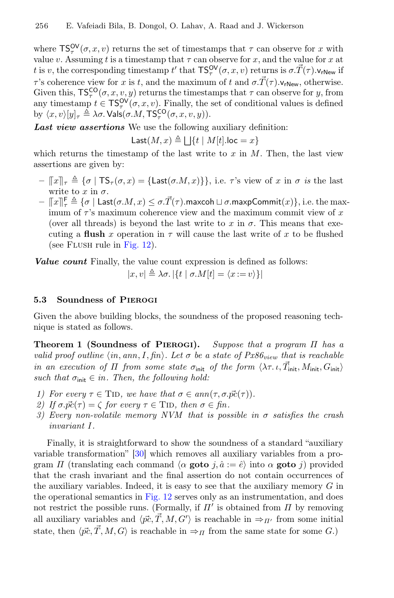where  $TS_{\tau}^{\mathsf{OV}}(\sigma, x, v)$  returns the set of timestamps that  $\tau$  can observe for x with value v. Assuming t is a timestamp that  $\tau$  can observe for x, and the value for x at t is v, the corresponding timestamp t' that  $TS_{\tau}^{OV}(\sigma, x, v)$  returns is  $\sigma.\vec{T}(\tau)$ . $v_{rNew}$  if τ's coherence view for x is t, and the maximum of t and  $\sigma \cdot \vec{T}(\tau)$ .  $v_{rNew}$ , otherwise. Given this,  $TS_{\tau}^{CO}(\sigma, x, v, y)$  returns the timestamps that  $\tau$  can observe for y, from any timestamp  $t \in \mathsf{TS}_{\tau}^{\mathsf{OV}}(\sigma, x, v)$ . Finally, the set of conditional values is defined by  $\langle x, v \rangle [y]_\tau \triangleq \lambda \sigma$ . Vals $(\sigma. M, \mathsf{TS}^{\mathsf{CO}}_\tau(\sigma, x, v, y)).$ 

Last view assertions We use the following auxiliary definition:

Last $(M, x) \triangleq \bigsqcup \{t \mid M[t].$ loc  $= x\}$ 

which returns the timestamp of the last write to  $x$  in  $M$ . Then, the last view assertions are given by:

- $-\llbracket x \rrbracket_{\tau} \triangleq {\sigma \mid TS_{\tau}(\sigma, x) = \{Last(\sigma, M, x)\}\}\$ , i.e.  $\tau$ 's view of x in  $\sigma$  is the last write to x in  $\sigma$ .
- $-\Vert x \Vert_{r}^{F} \triangleq \{ \sigma \mid \textsf{Last}(\sigma.M, x) \leq \sigma \cdot \vec{T}(\tau) \cdot \textsf{maxcoh} \sqcup \sigma \cdot \textsf{maxpCommit}(x) \}, \text{ i.e. the maximum of } \tau \}$ imum of  $\tau$ 's maximum coherence view and the maximum commit view of x (over all threads) is beyond the last write to x in  $\sigma$ . This means that executing a flush x operation in  $\tau$  will cause the last write of x to be flushed (see Flush rule in [Fig. 12\)](#page-19-0).

Value count Finally, the value count expression is defined as follows:

$$
|x, v| \triangleq \lambda \sigma. |\{t \mid \sigma. M[t] = \langle x := v \rangle\}|
$$

#### <span id="page-22-0"></span>5.3 Soundness of Pierogi

Given the above building blocks, the soundness of the proposed reasoning technique is stated as follows.

Theorem 1 (Soundness of PIEROGI). Suppose that a program  $\Pi$  has a valid proof outline  $\langle in, ann, I, fin \rangle$ . Let  $\sigma$  be a state of  $Px86_{view}$  that is reachable in an execution of  $\Pi$  from some state  $\sigma_{\text{init}}$  of the form  $\langle \lambda \tau. \iota. \vec{T}_{\text{init}} , M_{\text{init}} , G_{\text{init}} \rangle$ such that  $\sigma_{\text{init}} \in in$ . Then, the following hold:

- 1) For every  $\tau \in \text{TID}$ , we have that  $\sigma \in ann(\tau, \sigma, \vec{pc}(\tau))$ .
- 2) If  $\sigma.\vec{pc}(\tau) = \zeta$  for every  $\tau \in \text{TID}$ , then  $\sigma \in \text{fin}$ .
- 3) Every non-volatile memory NVM that is possible in  $\sigma$  satisfies the crash invariant I.

Finally, it is straightforward to show the soundness of a standard "auxiliary variable transformation" [\[30\]](#page-27-1) which removes all auxiliary variables from a program  $\Pi$  (translating each command  $\langle \alpha \text{ goto } j, \hat{a} \rangle = \hat{e}$ ) into  $\alpha \text{ goto } j$ ) provided that the crash invariant and the fnal assertion do not contain occurrences of the auxiliary variables. Indeed, it is easy to see that the auxiliary memory  $G$  in the operational semantics in [Fig. 12](#page-19-0) serves only as an instrumentation, and does not restrict the possible runs. (Formally, if  $\Pi'$  is obtained from  $\Pi$  by removing all auxiliary variables and  $\langle \vec{p_c}, \vec{T}, M, G' \rangle$  is reachable in  $\Rightarrow_{\Pi'}$  from some initial state, then  $\langle \vec{pc}, \vec{T}, M, G \rangle$  is reachable in  $\Rightarrow_{\Pi}$  from the same state for some  $G$ .)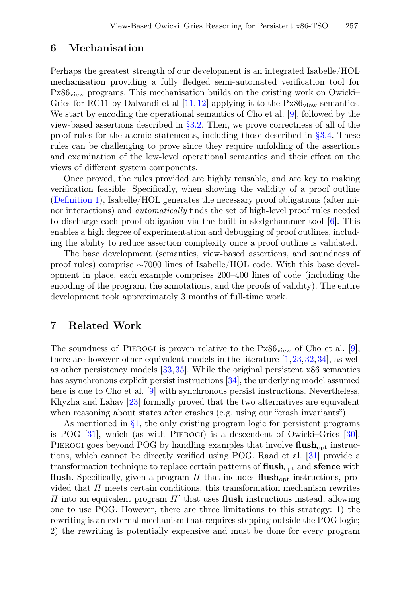## 6 Mechanisation

Perhaps the greatest strength of our development is an integrated Isabelle/HOL mechanisation providing a fully fedged semi-automated verifcation tool for  $Px86_{view}$  programs. This mechanisation builds on the existing work on Owicki– Gries for RC11 by Dalvandi et al  $[11, 12]$  $[11, 12]$  $[11, 12]$  applying it to the Px86<sub>view</sub> semantics. We start by encoding the operational semantics of Cho et al. [\[9\]](#page-25-0), followed by the view-based assertions described in [§3.2.](#page-10-0) Then, we prove correctness of all of the proof rules for the atomic statements, including those described in [§3.4.](#page-12-0) These rules can be challenging to prove since they require unfolding of the assertions and examination of the low-level operational semantics and their efect on the views of diferent system components.

Once proved, the rules provided are highly reusable, and are key to making verifcation feasible. Specifcally, when showing the validity of a proof outline [\(Defnition 1\)](#page-11-1), Isabelle/HOL generates the necessary proof obligations (after minor interactions) and automatically fnds the set of high-level proof rules needed to discharge each proof obligation via the built-in sledgehammer tool [\[6\]](#page-25-7). This enables a high degree of experimentation and debugging of proof outlines, including the ability to reduce assertion complexity once a proof outline is validated.

The base development (semantics, view-based assertions, and soundness of proof rules) comprise ∼7000 lines of Isabelle/HOL code. With this base development in place, each example comprises 200–400 lines of code (including the encoding of the program, the annotations, and the proofs of validity). The entire development took approximately 3 months of full-time work.

## 7 Related Work

The soundness of PIEROGI is proven relative to the  $Px86_{view}$  of Cho et al. [\[9\]](#page-25-0); there are however other equivalent models in the literature [\[1,](#page-25-8)[23,](#page-26-5)[32,](#page-27-5)[34\]](#page-27-6), as well as other persistency models [\[33,](#page-27-7)[35\]](#page-27-8). While the original persistent x86 semantics has asynchronous explicit persist instructions [\[34\]](#page-27-6), the underlying model assumed here is due to Cho et al. [\[9\]](#page-25-0) with synchronous persist instructions. Nevertheless, Khyzha and Lahav [\[23\]](#page-26-5) formally proved that the two alternatives are equivalent when reasoning about states after crashes (e.g. using our "crash invariants").

As mentioned in  $\S1$ , the only existing program logic for persistent programs is POG [\[31\]](#page-27-0), which (as with Pierogi) is a descendent of Owicki–Gries [\[30\]](#page-27-1). PIEROGI goes beyond POG by handling examples that involve flush<sub>opt</sub> instructions, which cannot be directly verifed using POG. Raad et al. [\[31\]](#page-27-0) provide a transformation technique to replace certain patterns of  $\text{flux}_{\text{opt}}$  and sfence with flush. Specifically, given a program  $\Pi$  that includes flush<sub>opt</sub> instructions, provided that  $\Pi$  meets certain conditions, this transformation mechanism rewrites  $\Pi$  into an equivalent program  $\Pi'$  that uses flush instructions instead, allowing one to use POG. However, there are three limitations to this strategy: 1) the rewriting is an external mechanism that requires stepping outside the POG logic; 2) the rewriting is potentially expensive and must be done for every program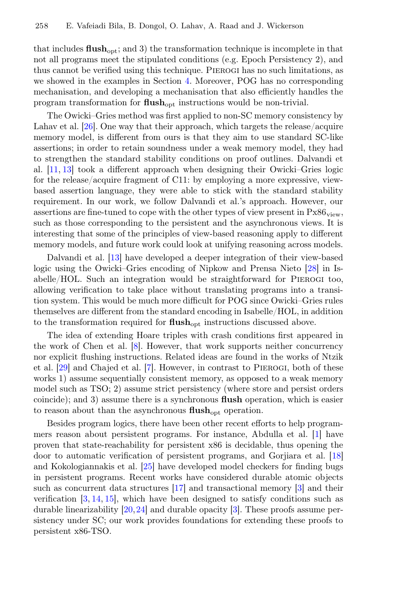that includes  $\mathbf{fush}_{\text{out}}$ ; and 3) the transformation technique is incomplete in that not all programs meet the stipulated conditions (e.g. Epoch Persistency 2), and thus cannot be verifed using this technique. Pierogi has no such limitations, as we showed in the examples in Section [4.](#page-15-0) Moreover, POG has no corresponding mechanisation, and developing a mechanisation that also efficiently handles the program transformation for  $\text{flush}_{\text{opt}}$  instructions would be non-trivial.

The Owicki–Gries method was frst applied to non-SC memory consistency by Lahav et al. [\[26\]](#page-27-4). One way that their approach, which targets the release/acquire memory model, is diferent from ours is that they aim to use standard SC-like assertions; in order to retain soundness under a weak memory model, they had to strengthen the standard stability conditions on proof outlines. Dalvandi et al. [\[11,](#page-25-3) [13\]](#page-26-1) took a diferent approach when designing their Owicki–Gries logic for the release/acquire fragment of C11: by employing a more expressive, viewbased assertion language, they were able to stick with the standard stability requirement. In our work, we follow Dalvandi et al.'s approach. However, our assertions are fine-tuned to cope with the other types of view present in  $Px86_{view}$ , such as those corresponding to the persistent and the asynchronous views. It is interesting that some of the principles of view-based reasoning apply to diferent memory models, and future work could look at unifying reasoning across models.

Dalvandi et al. [\[13\]](#page-26-1) have developed a deeper integration of their view-based logic using the Owicki–Gries encoding of Nipkow and Prensa Nieto [\[28\]](#page-27-9) in Isabelle/HOL. Such an integration would be straightforward for Pierogi too, allowing verifcation to take place without translating programs into a transition system. This would be much more difficult for POG since Owicki–Gries rules themselves are diferent from the standard encoding in Isabelle/HOL, in addition to the transformation required for  $\text{flush}_{\text{opt}}$  instructions discussed above.

The idea of extending Hoare triples with crash conditions frst appeared in the work of Chen et al. [\[8\]](#page-25-9). However, that work supports neither concurrency nor explicit fushing instructions. Related ideas are found in the works of Ntzik et al. [\[29\]](#page-27-10) and Chajed et al. [\[7\]](#page-25-10). However, in contrast to Pierogi, both of these works 1) assume sequentially consistent memory, as opposed to a weak memory model such as TSO; 2) assume strict persistency (where store and persist orders coincide); and 3) assume there is a synchronous fush operation, which is easier to reason about than the asynchronous  $\text{flux}_{\text{opt}}$  operation.

Besides program logics, there have been other recent eforts to help programmers reason about persistent programs. For instance, Abdulla et al. [\[1\]](#page-25-8) have proven that state-reachability for persistent x86 is decidable, thus opening the door to automatic verifcation of persistent programs, and Gorjiara et al. [\[18\]](#page-26-6) and Kokologiannakis et al. [\[25\]](#page-26-7) have developed model checkers for fnding bugs in persistent programs. Recent works have considered durable atomic objects such as concurrent data structures [\[17\]](#page-26-8) and transactional memory [\[3\]](#page-25-11) and their verifcation [\[3,](#page-25-11) [14,](#page-26-9) [15\]](#page-26-10), which have been designed to satisfy conditions such as durable linearizability [\[20,](#page-26-11)[24\]](#page-26-12) and durable opacity [\[3\]](#page-25-11). These proofs assume persistency under SC; our work provides foundations for extending these proofs to persistent x86-TSO.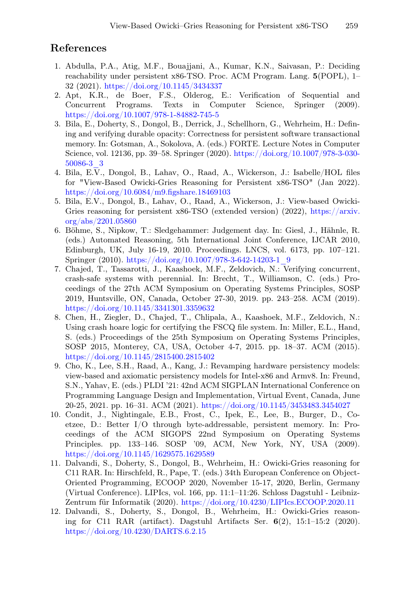## References

- <span id="page-25-8"></span>1. Abdulla, P.A., Atig, M.F., Bouajjani, A., Kumar, K.N., Saivasan, P.: Deciding reachability under persistent x86-TSO. Proc. ACM Program. Lang. 5(POPL), 1– 32 (2021). <https://doi.org/10.1145/3434337>
- <span id="page-25-5"></span>2. Apt, K.R., de Boer, F.S., Olderog, E.: Verifcation of Sequential and Concurrent Programs. Texts in Computer Science, Springer (2009). <https://doi.org/10.1007/978-1-84882-745-5>
- <span id="page-25-11"></span>3. Bila, E., Doherty, S., Dongol, B., Derrick, J., Schellhorn, G., Wehrheim, H.: Defning and verifying durable opacity: Correctness for persistent software transactional memory. In: Gotsman, A., Sokolova, A. (eds.) FORTE. Lecture Notes in Computer Science, vol. 12136, pp. 39–58. Springer (2020). [https://doi.org/10.1007/978-3-030-](https://doi.org/10.1007/978-3-030-50086-3_3) [50086-3\\_3](https://doi.org/10.1007/978-3-030-50086-3_3)
- <span id="page-25-1"></span>4. Bila, E.V., Dongol, B., Lahav, O., Raad, A., Wickerson, J.: Isabelle/HOL fles for "View-Based Owicki-Gries Reasoning for Persistent x86-TSO" (Jan 2022). [https://doi.org/10.6084/m9.fgshare.18469103](https://doi.org/10.6084/m9.figshare.18469103)
- <span id="page-25-2"></span>5. Bila, E.V., Dongol, B., Lahav, O., Raad, A., Wickerson, J.: View-based Owicki-Gries reasoning for persistent x86-TSO (extended version) (2022), [https://arxiv.](https://arxiv.org/abs/2201.05860) [org/abs/2201.05860](https://arxiv.org/abs/2201.05860)
- <span id="page-25-7"></span>6. Böhme, S., Nipkow, T.: Sledgehammer: Judgement day. In: Giesl, J., Hähnle, R. (eds.) Automated Reasoning, 5th International Joint Conference, IJCAR 2010, Edinburgh, UK, July 16-19, 2010. Proceedings. LNCS, vol. 6173, pp. 107–121. Springer (2010). [https://doi.org/10.1007/978-3-642-14203-1\\_9](https://doi.org/10.1007/978-3-642-14203-1_9)
- <span id="page-25-10"></span>7. Chajed, T., Tassarotti, J., Kaashoek, M.F., Zeldovich, N.: Verifying concurrent, crash-safe systems with perennial. In: Brecht, T., Williamson, C. (eds.) Proceedings of the 27th ACM Symposium on Operating Systems Principles, SOSP 2019, Huntsville, ON, Canada, October 27-30, 2019. pp. 243–258. ACM (2019). <https://doi.org/10.1145/3341301.3359632>
- <span id="page-25-9"></span>8. Chen, H., Ziegler, D., Chajed, T., Chlipala, A., Kaashoek, M.F., Zeldovich, N.: Using crash hoare logic for certifying the FSCQ fle system. In: Miller, E.L., Hand, S. (eds.) Proceedings of the 25th Symposium on Operating Systems Principles, SOSP 2015, Monterey, CA, USA, October 4-7, 2015. pp. 18–37. ACM (2015). <https://doi.org/10.1145/2815400.2815402>
- <span id="page-25-0"></span>9. Cho, K., Lee, S.H., Raad, A., Kang, J.: Revamping hardware persistency models: view-based and axiomatic persistency models for Intel-x86 and Armv8. In: Freund, S.N., Yahav, E. (eds.) PLDI '21: 42nd ACM SIGPLAN International Conference on Programming Language Design and Implementation, Virtual Event, Canada, June 20-25, 2021. pp. 16–31. ACM (2021). <https://doi.org/10.1145/3453483.3454027>
- <span id="page-25-4"></span>10. Condit, J., Nightingale, E.B., Frost, C., Ipek, E., Lee, B., Burger, D., Coetzee, D.: Better I/O through byte-addressable, persistent memory. In: Proceedings of the ACM SIGOPS 22nd Symposium on Operating Systems Principles. pp. 133–146. SOSP '09, ACM, New York, NY, USA (2009). <https://doi.org/10.1145/1629575.1629589>
- <span id="page-25-3"></span>11. Dalvandi, S., Doherty, S., Dongol, B., Wehrheim, H.: Owicki-Gries reasoning for C11 RAR. In: Hirschfeld, R., Pape, T. (eds.) 34th European Conference on Object-Oriented Programming, ECOOP 2020, November 15-17, 2020, Berlin, Germany (Virtual Conference). LIPIcs, vol. 166, pp. 11:1–11:26. Schloss Dagstuhl - Leibniz-Zentrum für Informatik (2020). <https://doi.org/10.4230/LIPIcs.ECOOP.2020.11>
- <span id="page-25-6"></span>12. Dalvandi, S., Doherty, S., Dongol, B., Wehrheim, H.: Owicki-Gries reasoning for C11 RAR (artifact). Dagstuhl Artifacts Ser. 6(2), 15:1–15:2 (2020). <https://doi.org/10.4230/DARTS.6.2.15>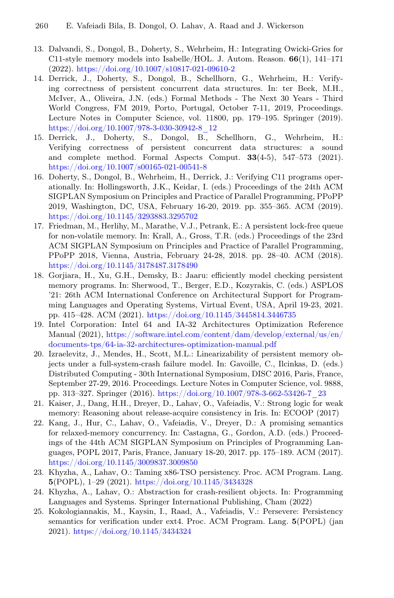- <span id="page-26-1"></span>13. Dalvandi, S., Dongol, B., Doherty, S., Wehrheim, H.: Integrating Owicki-Gries for C11-style memory models into Isabelle/HOL. J. Autom. Reason.  $66(1)$ , 141–171 (2022). <https://doi.org/10.1007/s10817-021-09610-2>
- <span id="page-26-9"></span>14. Derrick, J., Doherty, S., Dongol, B., Schellhorn, G., Wehrheim, H.: Verifying correctness of persistent concurrent data structures. In: ter Beek, M.H., McIver, A., Oliveira, J.N. (eds.) Formal Methods - The Next 30 Years - Third World Congress, FM 2019, Porto, Portugal, October 7-11, 2019, Proceedings. Lecture Notes in Computer Science, vol. 11800, pp. 179–195. Springer (2019). [https://doi.org/10.1007/978-3-030-30942-8\\_12](https://doi.org/10.1007/978-3-030-30942-8_12)
- <span id="page-26-10"></span>15. Derrick, J., Doherty, S., Dongol, B., Schellhorn, G., Wehrheim, H.: Verifying correctness of persistent concurrent data structures: a sound and complete method. Formal Aspects Comput.  $33(4-5)$ ,  $547-573$  (2021). <https://doi.org/10.1007/s00165-021-00541-8>
- <span id="page-26-4"></span>16. Doherty, S., Dongol, B., Wehrheim, H., Derrick, J.: Verifying C11 programs operationally. In: Hollingsworth, J.K., Keidar, I. (eds.) Proceedings of the 24th ACM SIGPLAN Symposium on Principles and Practice of Parallel Programming, PPoPP 2019, Washington, DC, USA, February 16-20, 2019. pp. 355–365. ACM (2019). <https://doi.org/10.1145/3293883.3295702>
- <span id="page-26-8"></span>17. Friedman, M., Herlihy, M., Marathe, V.J., Petrank, E.: A persistent lock-free queue for non-volatile memory. In: Krall, A., Gross, T.R. (eds.) Proceedings of the 23rd ACM SIGPLAN Symposium on Principles and Practice of Parallel Programming, PPoPP 2018, Vienna, Austria, February 24-28, 2018. pp. 28–40. ACM (2018). <https://doi.org/10.1145/3178487.3178490>
- <span id="page-26-6"></span>18. Gorjiara, H., Xu, G.H., Demsky, B.: Jaaru: efficiently model checking persistent memory programs. In: Sherwood, T., Berger, E.D., Kozyrakis, C. (eds.) ASPLOS '21: 26th ACM International Conference on Architectural Support for Programming Languages and Operating Systems, Virtual Event, USA, April 19-23, 2021. pp. 415–428. ACM (2021). <https://doi.org/10.1145/3445814.3446735>
- <span id="page-26-0"></span>19. Intel Corporation: Intel 64 and IA-32 Architectures Optimization Reference Manual (2021), [https://software.intel.com/content/dam/develop/external/us/en/](https://software.intel.com/content/dam/develop/external/us/en/documents-tps/64-ia-32-architectures-optimization-manual.pdf) [documents-tps/64-ia-32-architectures-optimization-manual.pdf](https://software.intel.com/content/dam/develop/external/us/en/documents-tps/64-ia-32-architectures-optimization-manual.pdf)
- <span id="page-26-11"></span>20. Izraelevitz, J., Mendes, H., Scott, M.L.: Linearizability of persistent memory objects under a full-system-crash failure model. In: Gavoille, C., Ilcinkas, D. (eds.) Distributed Computing - 30th International Symposium, DISC 2016, Paris, France, September 27-29, 2016. Proceedings. Lecture Notes in Computer Science, vol. 9888, pp. 313–327. Springer (2016). [https://doi.org/10.1007/978-3-662-53426-7\\_23](https://doi.org/10.1007/978-3-662-53426-7_23)
- <span id="page-26-2"></span>21. Kaiser, J., Dang, H.H., Dreyer, D., Lahav, O., Vafeiadis, V.: Strong logic for weak memory: Reasoning about release-acquire consistency in Iris. In: ECOOP (2017)
- <span id="page-26-3"></span>22. Kang, J., Hur, C., Lahav, O., Vafeiadis, V., Dreyer, D.: A promising semantics for relaxed-memory concurrency. In: Castagna, G., Gordon, A.D. (eds.) Proceedings of the 44th ACM SIGPLAN Symposium on Principles of Programming Languages, POPL 2017, Paris, France, January 18-20, 2017. pp. 175–189. ACM (2017). <https://doi.org/10.1145/3009837.3009850>
- <span id="page-26-5"></span>23. Khyzha, A., Lahav, O.: Taming x86-TSO persistency. Proc. ACM Program. Lang. 5(POPL), 1–29 (2021). <https://doi.org/10.1145/3434328>
- <span id="page-26-12"></span>24. Khyzha, A., Lahav, O.: Abstraction for crash-resilient objects. In: Programming Languages and Systems. Springer International Publishing, Cham (2022)
- <span id="page-26-7"></span>25. Kokologiannakis, M., Kaysin, I., Raad, A., Vafeiadis, V.: Persevere: Persistency semantics for verifcation under ext4. Proc. ACM Program. Lang. 5(POPL) (jan 2021). <https://doi.org/10.1145/3434324>